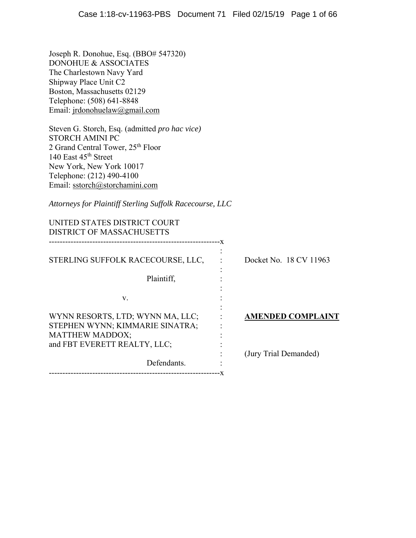Joseph R. Donohue, Esq. (BBO# 547320) DONOHUE & ASSOCIATES The Charlestown Navy Yard Shipway Place Unit C2 Boston, Massachusetts 02129 Telephone: (508) 641-8848 Email: jrdonohuelaw@gmail.com

Steven G. Storch, Esq. (admitted *pro hac vice)*  STORCH AMINI PC 2 Grand Central Tower, 25th Floor 140 East 45<sup>th</sup> Street New York, New York 10017 Telephone: (212) 490-4100 Email: sstorch@storchamini.com

*Attorneys for Plaintiff Sterling Suffolk Racecourse, LLC*

| UNITED STATES DISTRICT COURT<br><b>DISTRICT OF MASSACHUSETTS</b>                              |                          |
|-----------------------------------------------------------------------------------------------|--------------------------|
| STERLING SUFFOLK RACECOURSE, LLC,                                                             | Docket No. 18 CV 11963   |
| Plaintiff,                                                                                    |                          |
| V.                                                                                            |                          |
| WYNN RESORTS, LTD; WYNN MA, LLC;<br>STEPHEN WYNN; KIMMARIE SINATRA;<br><b>MATTHEW MADDOX;</b> | <b>AMENDED COMPLAINT</b> |
| and FBT EVERETT REALTY, LLC;                                                                  | (Jury Trial Demanded)    |
| Defendants.                                                                                   |                          |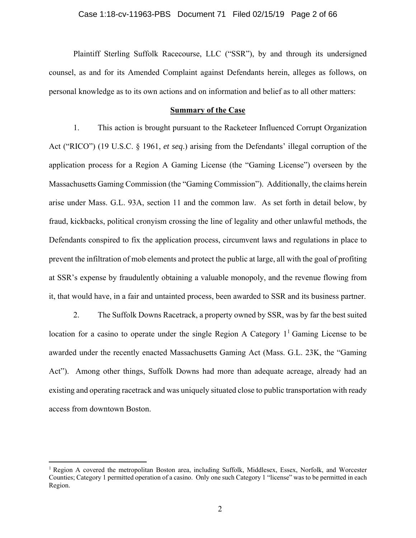#### Case 1:18-cv-11963-PBS Document 71 Filed 02/15/19 Page 2 of 66

Plaintiff Sterling Suffolk Racecourse, LLC ("SSR"), by and through its undersigned counsel, as and for its Amended Complaint against Defendants herein, alleges as follows, on personal knowledge as to its own actions and on information and belief as to all other matters:

#### **Summary of the Case**

1. This action is brought pursuant to the Racketeer Influenced Corrupt Organization Act ("RICO") (19 U.S.C. § 1961, *et seq*.) arising from the Defendants' illegal corruption of the application process for a Region A Gaming License (the "Gaming License") overseen by the Massachusetts Gaming Commission (the "Gaming Commission"). Additionally, the claims herein arise under Mass. G.L. 93A, section 11 and the common law. As set forth in detail below, by fraud, kickbacks, political cronyism crossing the line of legality and other unlawful methods, the Defendants conspired to fix the application process, circumvent laws and regulations in place to prevent the infiltration of mob elements and protect the public at large, all with the goal of profiting at SSR's expense by fraudulently obtaining a valuable monopoly, and the revenue flowing from it, that would have, in a fair and untainted process, been awarded to SSR and its business partner.

2. The Suffolk Downs Racetrack, a property owned by SSR, was by far the best suited location for a casino to operate under the single Region A Category  $1<sup>1</sup>$  Gaming License to be awarded under the recently enacted Massachusetts Gaming Act (Mass. G.L. 23K, the "Gaming Act"). Among other things, Suffolk Downs had more than adequate acreage, already had an existing and operating racetrack and was uniquely situated close to public transportation with ready access from downtown Boston.

 $\overline{a}$ 

 $1$  Region A covered the metropolitan Boston area, including Suffolk, Middlesex, Essex, Norfolk, and Worcester Counties; Category 1 permitted operation of a casino. Only one such Category 1 "license" was to be permitted in each Region.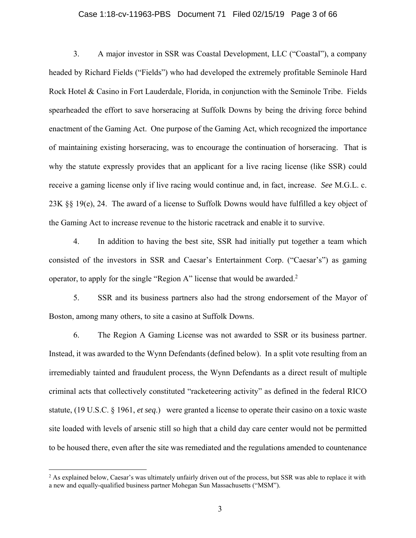#### Case 1:18-cv-11963-PBS Document 71 Filed 02/15/19 Page 3 of 66

3. A major investor in SSR was Coastal Development, LLC ("Coastal"), a company headed by Richard Fields ("Fields") who had developed the extremely profitable Seminole Hard Rock Hotel & Casino in Fort Lauderdale, Florida, in conjunction with the Seminole Tribe. Fields spearheaded the effort to save horseracing at Suffolk Downs by being the driving force behind enactment of the Gaming Act. One purpose of the Gaming Act, which recognized the importance of maintaining existing horseracing, was to encourage the continuation of horseracing. That is why the statute expressly provides that an applicant for a live racing license (like SSR) could receive a gaming license only if live racing would continue and, in fact, increase. *See* M.G.L. c. 23K §§ 19(e), 24. The award of a license to Suffolk Downs would have fulfilled a key object of the Gaming Act to increase revenue to the historic racetrack and enable it to survive.

4. In addition to having the best site, SSR had initially put together a team which consisted of the investors in SSR and Caesar's Entertainment Corp. ("Caesar's") as gaming operator, to apply for the single "Region A" license that would be awarded.<sup>2</sup>

5. SSR and its business partners also had the strong endorsement of the Mayor of Boston, among many others, to site a casino at Suffolk Downs.

6. The Region A Gaming License was not awarded to SSR or its business partner. Instead, it was awarded to the Wynn Defendants (defined below). In a split vote resulting from an irremediably tainted and fraudulent process, the Wynn Defendants as a direct result of multiple criminal acts that collectively constituted "racketeering activity" as defined in the federal RICO statute, (19 U.S.C. § 1961, *et seq*.) were granted a license to operate their casino on a toxic waste site loaded with levels of arsenic still so high that a child day care center would not be permitted to be housed there, even after the site was remediated and the regulations amended to countenance

<u>.</u>

<sup>&</sup>lt;sup>2</sup> As explained below, Caesar's was ultimately unfairly driven out of the process, but SSR was able to replace it with a new and equally-qualified business partner Mohegan Sun Massachusetts ("MSM").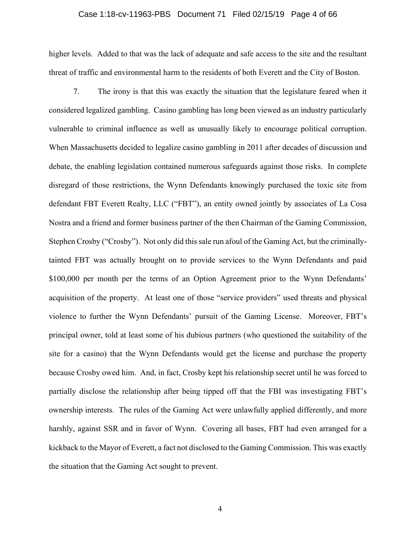#### Case 1:18-cv-11963-PBS Document 71 Filed 02/15/19 Page 4 of 66

higher levels. Added to that was the lack of adequate and safe access to the site and the resultant threat of traffic and environmental harm to the residents of both Everett and the City of Boston.

7. The irony is that this was exactly the situation that the legislature feared when it considered legalized gambling. Casino gambling has long been viewed as an industry particularly vulnerable to criminal influence as well as unusually likely to encourage political corruption. When Massachusetts decided to legalize casino gambling in 2011 after decades of discussion and debate, the enabling legislation contained numerous safeguards against those risks. In complete disregard of those restrictions, the Wynn Defendants knowingly purchased the toxic site from defendant FBT Everett Realty, LLC ("FBT"), an entity owned jointly by associates of La Cosa Nostra and a friend and former business partner of the then Chairman of the Gaming Commission, Stephen Crosby ("Crosby"). Not only did this sale run afoul of the Gaming Act, but the criminallytainted FBT was actually brought on to provide services to the Wynn Defendants and paid \$100,000 per month per the terms of an Option Agreement prior to the Wynn Defendants' acquisition of the property. At least one of those "service providers" used threats and physical violence to further the Wynn Defendants' pursuit of the Gaming License. Moreover, FBT's principal owner, told at least some of his dubious partners (who questioned the suitability of the site for a casino) that the Wynn Defendants would get the license and purchase the property because Crosby owed him. And, in fact, Crosby kept his relationship secret until he was forced to partially disclose the relationship after being tipped off that the FBI was investigating FBT's ownership interests. The rules of the Gaming Act were unlawfully applied differently, and more harshly, against SSR and in favor of Wynn. Covering all bases, FBT had even arranged for a kickback to the Mayor of Everett, a fact not disclosed to the Gaming Commission. This was exactly the situation that the Gaming Act sought to prevent.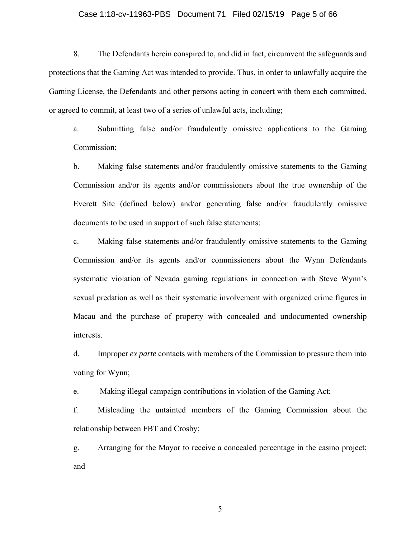#### Case 1:18-cv-11963-PBS Document 71 Filed 02/15/19 Page 5 of 66

8. The Defendants herein conspired to, and did in fact, circumvent the safeguards and protections that the Gaming Act was intended to provide. Thus, in order to unlawfully acquire the Gaming License, the Defendants and other persons acting in concert with them each committed, or agreed to commit, at least two of a series of unlawful acts, including;

a. Submitting false and/or fraudulently omissive applications to the Gaming Commission;

b. Making false statements and/or fraudulently omissive statements to the Gaming Commission and/or its agents and/or commissioners about the true ownership of the Everett Site (defined below) and/or generating false and/or fraudulently omissive documents to be used in support of such false statements;

c. Making false statements and/or fraudulently omissive statements to the Gaming Commission and/or its agents and/or commissioners about the Wynn Defendants systematic violation of Nevada gaming regulations in connection with Steve Wynn's sexual predation as well as their systematic involvement with organized crime figures in Macau and the purchase of property with concealed and undocumented ownership interests.

d. Improper *ex parte* contacts with members of the Commission to pressure them into voting for Wynn;

e. Making illegal campaign contributions in violation of the Gaming Act;

f. Misleading the untainted members of the Gaming Commission about the relationship between FBT and Crosby;

g. Arranging for the Mayor to receive a concealed percentage in the casino project; and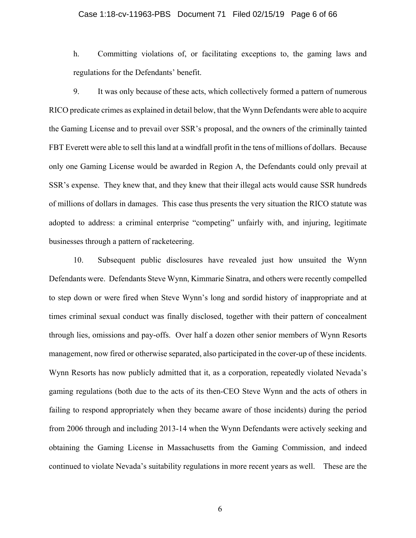#### Case 1:18-cv-11963-PBS Document 71 Filed 02/15/19 Page 6 of 66

h. Committing violations of, or facilitating exceptions to, the gaming laws and regulations for the Defendants' benefit.

9. It was only because of these acts, which collectively formed a pattern of numerous RICO predicate crimes as explained in detail below, that the Wynn Defendants were able to acquire the Gaming License and to prevail over SSR's proposal, and the owners of the criminally tainted FBT Everett were able to sell this land at a windfall profit in the tens of millions of dollars. Because only one Gaming License would be awarded in Region A, the Defendants could only prevail at SSR's expense. They knew that, and they knew that their illegal acts would cause SSR hundreds of millions of dollars in damages. This case thus presents the very situation the RICO statute was adopted to address: a criminal enterprise "competing" unfairly with, and injuring, legitimate businesses through a pattern of racketeering.

10. Subsequent public disclosures have revealed just how unsuited the Wynn Defendants were. Defendants Steve Wynn, Kimmarie Sinatra, and others were recently compelled to step down or were fired when Steve Wynn's long and sordid history of inappropriate and at times criminal sexual conduct was finally disclosed, together with their pattern of concealment through lies, omissions and pay-offs. Over half a dozen other senior members of Wynn Resorts management, now fired or otherwise separated, also participated in the cover-up of these incidents. Wynn Resorts has now publicly admitted that it, as a corporation, repeatedly violated Nevada's gaming regulations (both due to the acts of its then-CEO Steve Wynn and the acts of others in failing to respond appropriately when they became aware of those incidents) during the period from 2006 through and including 2013-14 when the Wynn Defendants were actively seeking and obtaining the Gaming License in Massachusetts from the Gaming Commission, and indeed continued to violate Nevada's suitability regulations in more recent years as well. These are the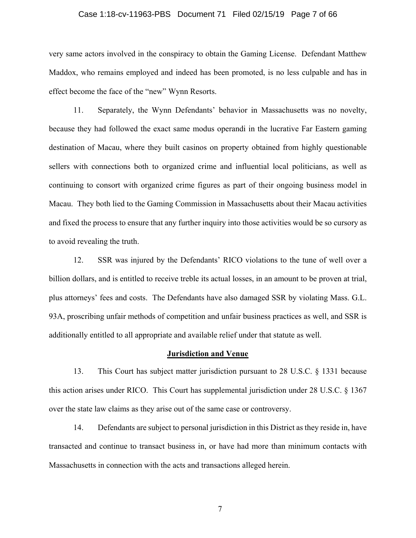#### Case 1:18-cv-11963-PBS Document 71 Filed 02/15/19 Page 7 of 66

very same actors involved in the conspiracy to obtain the Gaming License. Defendant Matthew Maddox, who remains employed and indeed has been promoted, is no less culpable and has in effect become the face of the "new" Wynn Resorts.

11. Separately, the Wynn Defendants' behavior in Massachusetts was no novelty, because they had followed the exact same modus operandi in the lucrative Far Eastern gaming destination of Macau, where they built casinos on property obtained from highly questionable sellers with connections both to organized crime and influential local politicians, as well as continuing to consort with organized crime figures as part of their ongoing business model in Macau. They both lied to the Gaming Commission in Massachusetts about their Macau activities and fixed the process to ensure that any further inquiry into those activities would be so cursory as to avoid revealing the truth.

12. SSR was injured by the Defendants' RICO violations to the tune of well over a billion dollars, and is entitled to receive treble its actual losses, in an amount to be proven at trial, plus attorneys' fees and costs. The Defendants have also damaged SSR by violating Mass. G.L. 93A, proscribing unfair methods of competition and unfair business practices as well, and SSR is additionally entitled to all appropriate and available relief under that statute as well.

#### **Jurisdiction and Venue**

13. This Court has subject matter jurisdiction pursuant to 28 U.S.C. § 1331 because this action arises under RICO. This Court has supplemental jurisdiction under 28 U.S.C. § 1367 over the state law claims as they arise out of the same case or controversy.

14. Defendants are subject to personal jurisdiction in this District as they reside in, have transacted and continue to transact business in, or have had more than minimum contacts with Massachusetts in connection with the acts and transactions alleged herein.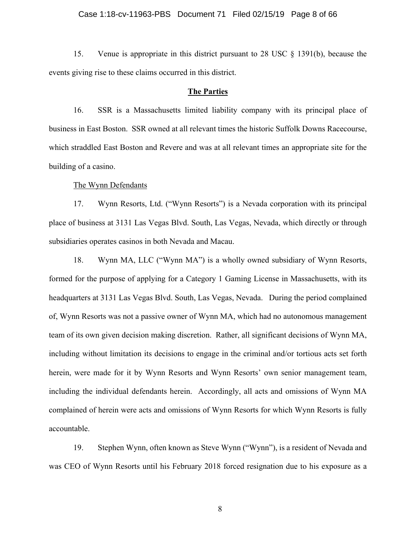### Case 1:18-cv-11963-PBS Document 71 Filed 02/15/19 Page 8 of 66

15. Venue is appropriate in this district pursuant to 28 USC § 1391(b), because the events giving rise to these claims occurred in this district.

#### **The Parties**

16. SSR is a Massachusetts limited liability company with its principal place of business in East Boston. SSR owned at all relevant times the historic Suffolk Downs Racecourse, which straddled East Boston and Revere and was at all relevant times an appropriate site for the building of a casino.

#### The Wynn Defendants

17. Wynn Resorts, Ltd. ("Wynn Resorts") is a Nevada corporation with its principal place of business at 3131 Las Vegas Blvd. South, Las Vegas, Nevada, which directly or through subsidiaries operates casinos in both Nevada and Macau.

18. Wynn MA, LLC ("Wynn MA") is a wholly owned subsidiary of Wynn Resorts, formed for the purpose of applying for a Category 1 Gaming License in Massachusetts, with its headquarters at 3131 Las Vegas Blvd. South, Las Vegas, Nevada. During the period complained of, Wynn Resorts was not a passive owner of Wynn MA, which had no autonomous management team of its own given decision making discretion. Rather, all significant decisions of Wynn MA, including without limitation its decisions to engage in the criminal and/or tortious acts set forth herein, were made for it by Wynn Resorts and Wynn Resorts' own senior management team, including the individual defendants herein. Accordingly, all acts and omissions of Wynn MA complained of herein were acts and omissions of Wynn Resorts for which Wynn Resorts is fully accountable.

19. Stephen Wynn, often known as Steve Wynn ("Wynn"), is a resident of Nevada and was CEO of Wynn Resorts until his February 2018 forced resignation due to his exposure as a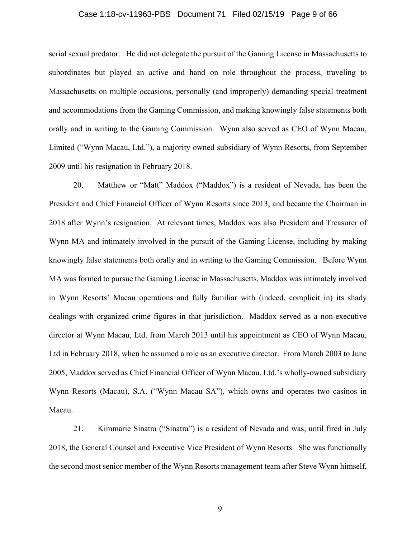#### Case 1:18-cv-11963-PBS Document 71 Filed 02/15/19 Page 9 of 66

serial sexual predator. He did not delegate the pursuit of the Gaming License in Massachusetts to subordinates but played an active and hand on role throughout the process, traveling to Massachusetts on multiple occasions, personally (and improperly) demanding special treatment and accommodations from the Gaming Commission, and making knowingly false statements both orally and in writing to the Gaming Commission. Wynn also served as CEO of Wynn Macau, Limited ("Wynn Macau, Ltd."), a majority owned subsidiary of Wynn Resorts, from September 2009 until his resignation in February 2018.

20. Matthew or "Matt" Maddox ("Maddox") is a resident of Nevada, has been the President and Chief Financial Officer of Wynn Resorts since 2013, and became the Chairman in 2018 after Wynn's resignation. At relevant times, Maddox was also President and Treasurer of Wynn MA and intimately involved in the pursuit of the Gaming License, including by making knowingly false statements both orally and in writing to the Gaming Commission. Before Wynn MA was formed to pursue the Gaming License in Massachusetts, Maddox was intimately involved in Wynn Resorts' Macau operations and fully familiar with (indeed, complicit in) its shady dealings with organized crime figures in that jurisdiction. Maddox served as a non-executive director at Wynn Macau, Ltd. from March 2013 until his appointment as CEO of Wynn Macau, Ltd in February 2018, when he assumed a role as an executive director. From March 2003 to June 2005, Maddox served as Chief Financial Officer of Wynn Macau, Ltd.'s wholly-owned subsidiary Wynn Resorts (Macau), S.A. ("Wynn Macau SA"), which owns and operates two casinos in Macau.

21. Kimmarie Sinatra ("Sinatra") is a resident of Nevada and was, until fired in July 2018, the General Counsel and Executive Vice President of Wynn Resorts. She was functionally the second most senior member of the Wynn Resorts management team after Steve Wynn himself,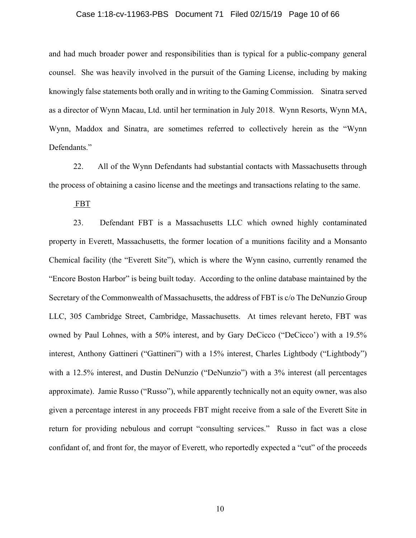#### Case 1:18-cv-11963-PBS Document 71 Filed 02/15/19 Page 10 of 66

and had much broader power and responsibilities than is typical for a public-company general counsel. She was heavily involved in the pursuit of the Gaming License, including by making knowingly false statements both orally and in writing to the Gaming Commission. Sinatra served as a director of Wynn Macau, Ltd. until her termination in July 2018. Wynn Resorts, Wynn MA, Wynn, Maddox and Sinatra, are sometimes referred to collectively herein as the "Wynn Defendants."

22. All of the Wynn Defendants had substantial contacts with Massachusetts through the process of obtaining a casino license and the meetings and transactions relating to the same.

FBT

23. Defendant FBT is a Massachusetts LLC which owned highly contaminated property in Everett, Massachusetts, the former location of a munitions facility and a Monsanto Chemical facility (the "Everett Site"), which is where the Wynn casino, currently renamed the "Encore Boston Harbor" is being built today. According to the online database maintained by the Secretary of the Commonwealth of Massachusetts, the address of FBT is c/o The DeNunzio Group LLC, 305 Cambridge Street, Cambridge, Massachusetts. At times relevant hereto, FBT was owned by Paul Lohnes, with a 50% interest, and by Gary DeCicco ("DeCicco') with a 19.5% interest, Anthony Gattineri ("Gattineri") with a 15% interest, Charles Lightbody ("Lightbody") with a 12.5% interest, and Dustin DeNunzio ("DeNunzio") with a 3% interest (all percentages approximate). Jamie Russo ("Russo"), while apparently technically not an equity owner, was also given a percentage interest in any proceeds FBT might receive from a sale of the Everett Site in return for providing nebulous and corrupt "consulting services." Russo in fact was a close confidant of, and front for, the mayor of Everett, who reportedly expected a "cut" of the proceeds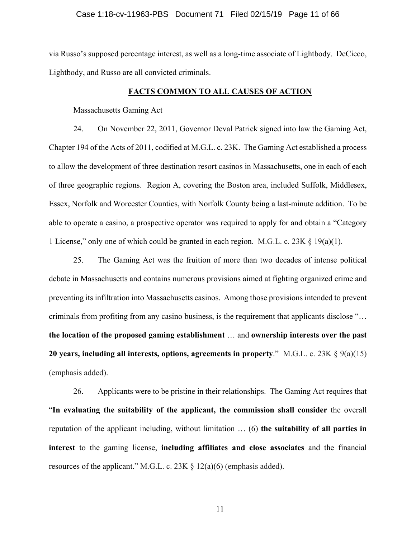#### Case 1:18-cv-11963-PBS Document 71 Filed 02/15/19 Page 11 of 66

via Russo's supposed percentage interest, as well as a long-time associate of Lightbody. DeCicco, Lightbody, and Russo are all convicted criminals.

#### **FACTS COMMON TO ALL CAUSES OF ACTION**

#### Massachusetts Gaming Act

24. On November 22, 2011, Governor Deval Patrick signed into law the Gaming Act, Chapter 194 of the Acts of 2011, codified at M.G.L. c. 23K. The Gaming Act established a process to allow the development of three destination resort casinos in Massachusetts, one in each of each of three geographic regions. Region A, covering the Boston area, included Suffolk, Middlesex, Essex, Norfolk and Worcester Counties, with Norfolk County being a last-minute addition. To be able to operate a casino, a prospective operator was required to apply for and obtain a "Category 1 License," only one of which could be granted in each region. M.G.L. c. 23K  $\S$  19(a)(1).

25. The Gaming Act was the fruition of more than two decades of intense political debate in Massachusetts and contains numerous provisions aimed at fighting organized crime and preventing its infiltration into Massachusetts casinos. Among those provisions intended to prevent criminals from profiting from any casino business, is the requirement that applicants disclose "… **the location of the proposed gaming establishment** … and **ownership interests over the past 20 years, including all interests, options, agreements in property**." M.G.L. c. 23K § 9(a)(15) (emphasis added).

26. Applicants were to be pristine in their relationships. The Gaming Act requires that "**In evaluating the suitability of the applicant, the commission shall consider** the overall reputation of the applicant including, without limitation … (6) **the suitability of all parties in interest** to the gaming license, **including affiliates and close associates** and the financial resources of the applicant." M.G.L. c. 23K  $\S$  12(a)(6) (emphasis added).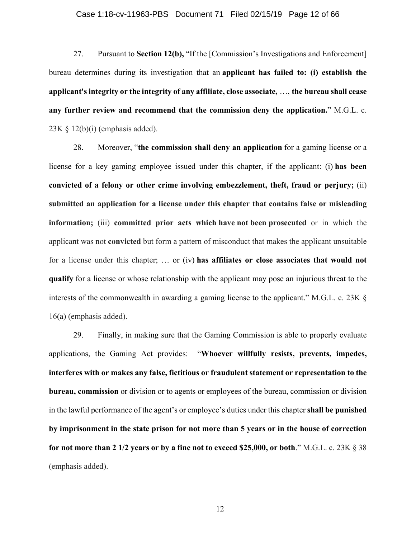#### Case 1:18-cv-11963-PBS Document 71 Filed 02/15/19 Page 12 of 66

27. Pursuant to **Section 12(b),** "If the [Commission's Investigations and Enforcement] bureau determines during its investigation that an **applicant has failed to: (i) establish the applicant's integrity or the integrity of any affiliate, close associate,** …, **the bureau shall cease any further review and recommend that the commission deny the application.**" M.G.L. c.  $23K \t S 12(b)(i)$  (emphasis added).

28. Moreover, "**the commission shall deny an application** for a gaming license or a license for a key gaming employee issued under this chapter, if the applicant: (i) **has been convicted of a felony or other crime involving embezzlement, theft, fraud or perjury;** (ii) **submitted an application for a license under this chapter that contains false or misleading information;** (iii) **committed prior acts which have not been prosecuted** or in which the applicant was not **convicted** but form a pattern of misconduct that makes the applicant unsuitable for a license under this chapter; … or (iv) **has affiliates or close associates that would not qualify** for a license or whose relationship with the applicant may pose an injurious threat to the interests of the commonwealth in awarding a gaming license to the applicant." M.G.L. c. 23K § 16(a) (emphasis added).

29. Finally, in making sure that the Gaming Commission is able to properly evaluate applications, the Gaming Act provides: "**Whoever willfully resists, prevents, impedes, interferes with or makes any false, fictitious or fraudulent statement or representation to the bureau, commission** or division or to agents or employees of the bureau, commission or division in the lawful performance of the agent's or employee's duties under this chapter **shall be punished by imprisonment in the state prison for not more than 5 years or in the house of correction for not more than 2 1/2 years or by a fine not to exceed \$25,000, or both**." M.G.L. c. 23K § 38 (emphasis added).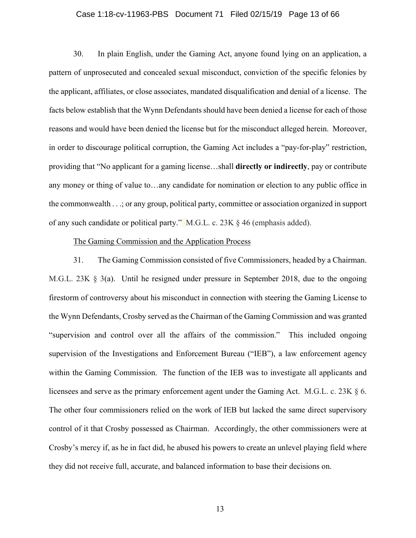#### Case 1:18-cv-11963-PBS Document 71 Filed 02/15/19 Page 13 of 66

30. In plain English, under the Gaming Act, anyone found lying on an application, a pattern of unprosecuted and concealed sexual misconduct, conviction of the specific felonies by the applicant, affiliates, or close associates, mandated disqualification and denial of a license. The facts below establish that the Wynn Defendants should have been denied a license for each of those reasons and would have been denied the license but for the misconduct alleged herein. Moreover, in order to discourage political corruption, the Gaming Act includes a "pay-for-play" restriction, providing that "No applicant for a gaming license…shall **directly or indirectly**, pay or contribute any money or thing of value to…any candidate for nomination or election to any public office in the commonwealth . . .; or any group, political party, committee or association organized in support of any such candidate or political party." M.G.L. c. 23K § 46 (emphasis added).

#### The Gaming Commission and the Application Process

31. The Gaming Commission consisted of five Commissioners, headed by a Chairman. M.G.L. 23K § 3(a). Until he resigned under pressure in September 2018, due to the ongoing firestorm of controversy about his misconduct in connection with steering the Gaming License to the Wynn Defendants, Crosby served as the Chairman of the Gaming Commission and was granted "supervision and control over all the affairs of the commission." This included ongoing supervision of the Investigations and Enforcement Bureau ("IEB"), a law enforcement agency within the Gaming Commission. The function of the IEB was to investigate all applicants and licensees and serve as the primary enforcement agent under the Gaming Act. M.G.L. c. 23K § 6. The other four commissioners relied on the work of IEB but lacked the same direct supervisory control of it that Crosby possessed as Chairman. Accordingly, the other commissioners were at Crosby's mercy if, as he in fact did, he abused his powers to create an unlevel playing field where they did not receive full, accurate, and balanced information to base their decisions on.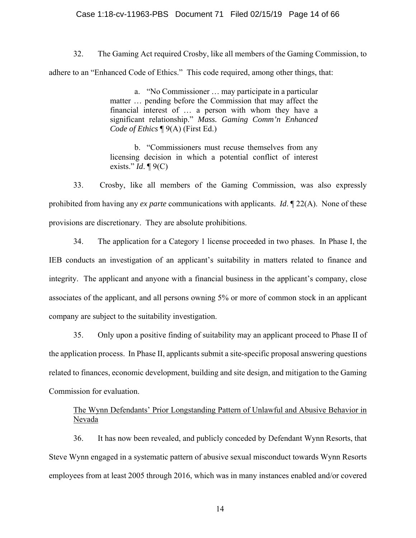### Case 1:18-cv-11963-PBS Document 71 Filed 02/15/19 Page 14 of 66

32. The Gaming Act required Crosby, like all members of the Gaming Commission, to adhere to an "Enhanced Code of Ethics." This code required, among other things, that:

> a. "No Commissioner … may participate in a particular matter … pending before the Commission that may affect the financial interest of … a person with whom they have a significant relationship." *Mass. Gaming Comm'n Enhanced Code of Ethics* ¶ 9(A) (First Ed.)

> b. "Commissioners must recuse themselves from any licensing decision in which a potential conflict of interest exists." *Id*. ¶ 9(C)

33. Crosby, like all members of the Gaming Commission, was also expressly prohibited from having any *ex parte* communications with applicants. *Id*. ¶ 22(A). None of these provisions are discretionary. They are absolute prohibitions.

34. The application for a Category 1 license proceeded in two phases. In Phase I, the IEB conducts an investigation of an applicant's suitability in matters related to finance and integrity. The applicant and anyone with a financial business in the applicant's company, close associates of the applicant, and all persons owning 5% or more of common stock in an applicant company are subject to the suitability investigation.

35. Only upon a positive finding of suitability may an applicant proceed to Phase II of the application process. In Phase II, applicants submit a site-specific proposal answering questions related to finances, economic development, building and site design, and mitigation to the Gaming Commission for evaluation.

## The Wynn Defendants' Prior Longstanding Pattern of Unlawful and Abusive Behavior in Nevada

36. It has now been revealed, and publicly conceded by Defendant Wynn Resorts, that Steve Wynn engaged in a systematic pattern of abusive sexual misconduct towards Wynn Resorts employees from at least 2005 through 2016, which was in many instances enabled and/or covered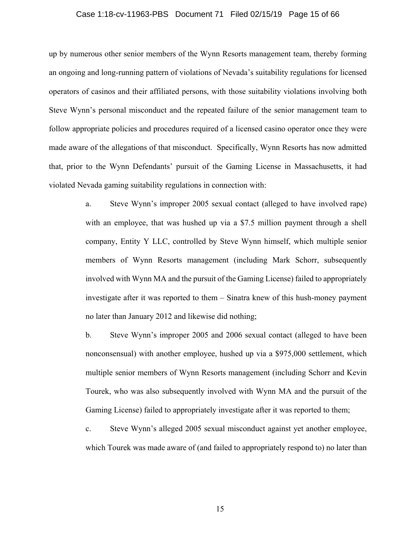#### Case 1:18-cv-11963-PBS Document 71 Filed 02/15/19 Page 15 of 66

up by numerous other senior members of the Wynn Resorts management team, thereby forming an ongoing and long-running pattern of violations of Nevada's suitability regulations for licensed operators of casinos and their affiliated persons, with those suitability violations involving both Steve Wynn's personal misconduct and the repeated failure of the senior management team to follow appropriate policies and procedures required of a licensed casino operator once they were made aware of the allegations of that misconduct. Specifically, Wynn Resorts has now admitted that, prior to the Wynn Defendants' pursuit of the Gaming License in Massachusetts, it had violated Nevada gaming suitability regulations in connection with:

> a. Steve Wynn's improper 2005 sexual contact (alleged to have involved rape) with an employee, that was hushed up via a \$7.5 million payment through a shell company, Entity Y LLC, controlled by Steve Wynn himself, which multiple senior members of Wynn Resorts management (including Mark Schorr, subsequently involved with Wynn MA and the pursuit of the Gaming License) failed to appropriately investigate after it was reported to them – Sinatra knew of this hush-money payment no later than January 2012 and likewise did nothing;

> b. Steve Wynn's improper 2005 and 2006 sexual contact (alleged to have been nonconsensual) with another employee, hushed up via a \$975,000 settlement, which multiple senior members of Wynn Resorts management (including Schorr and Kevin Tourek, who was also subsequently involved with Wynn MA and the pursuit of the Gaming License) failed to appropriately investigate after it was reported to them;

> c. Steve Wynn's alleged 2005 sexual misconduct against yet another employee, which Tourek was made aware of (and failed to appropriately respond to) no later than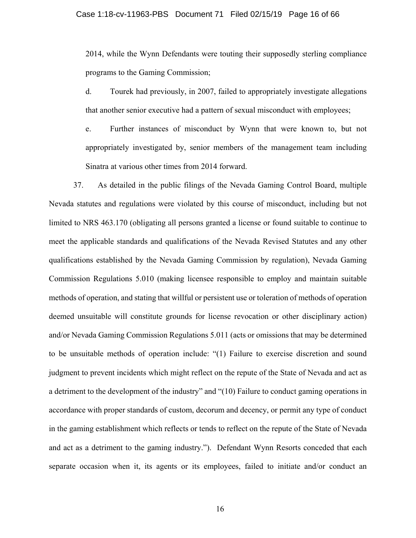2014, while the Wynn Defendants were touting their supposedly sterling compliance programs to the Gaming Commission;

d. Tourek had previously, in 2007, failed to appropriately investigate allegations that another senior executive had a pattern of sexual misconduct with employees;

e. Further instances of misconduct by Wynn that were known to, but not appropriately investigated by, senior members of the management team including Sinatra at various other times from 2014 forward.

37. As detailed in the public filings of the Nevada Gaming Control Board, multiple Nevada statutes and regulations were violated by this course of misconduct, including but not limited to NRS 463.170 (obligating all persons granted a license or found suitable to continue to meet the applicable standards and qualifications of the Nevada Revised Statutes and any other qualifications established by the Nevada Gaming Commission by regulation), Nevada Gaming Commission Regulations 5.010 (making licensee responsible to employ and maintain suitable methods of operation, and stating that willful or persistent use or toleration of methods of operation deemed unsuitable will constitute grounds for license revocation or other disciplinary action) and/or Nevada Gaming Commission Regulations 5.011 (acts or omissions that may be determined to be unsuitable methods of operation include: "(1) Failure to exercise discretion and sound judgment to prevent incidents which might reflect on the repute of the State of Nevada and act as a detriment to the development of the industry" and "(10) Failure to conduct gaming operations in accordance with proper standards of custom, decorum and decency, or permit any type of conduct in the gaming establishment which reflects or tends to reflect on the repute of the State of Nevada and act as a detriment to the gaming industry."). Defendant Wynn Resorts conceded that each separate occasion when it, its agents or its employees, failed to initiate and/or conduct an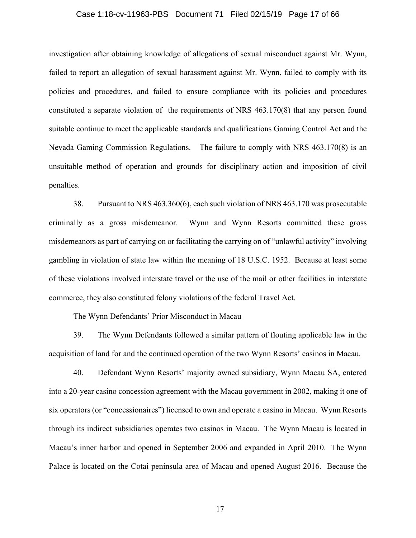#### Case 1:18-cv-11963-PBS Document 71 Filed 02/15/19 Page 17 of 66

investigation after obtaining knowledge of allegations of sexual misconduct against Mr. Wynn, failed to report an allegation of sexual harassment against Mr. Wynn, failed to comply with its policies and procedures, and failed to ensure compliance with its policies and procedures constituted a separate violation of the requirements of NRS 463.170(8) that any person found suitable continue to meet the applicable standards and qualifications Gaming Control Act and the Nevada Gaming Commission Regulations. The failure to comply with NRS 463.170(8) is an unsuitable method of operation and grounds for disciplinary action and imposition of civil penalties.

38. Pursuant to NRS 463.360(6), each such violation of NRS 463.170 was prosecutable criminally as a gross misdemeanor. Wynn and Wynn Resorts committed these gross misdemeanors as part of carrying on or facilitating the carrying on of "unlawful activity" involving gambling in violation of state law within the meaning of 18 U.S.C. 1952. Because at least some of these violations involved interstate travel or the use of the mail or other facilities in interstate commerce, they also constituted felony violations of the federal Travel Act.

#### The Wynn Defendants' Prior Misconduct in Macau

39. The Wynn Defendants followed a similar pattern of flouting applicable law in the acquisition of land for and the continued operation of the two Wynn Resorts' casinos in Macau.

40. Defendant Wynn Resorts' majority owned subsidiary, Wynn Macau SA, entered into a 20-year casino concession agreement with the Macau government in 2002, making it one of six operators (or "concessionaires") licensed to own and operate a casino in Macau. Wynn Resorts through its indirect subsidiaries operates two casinos in Macau. The Wynn Macau is located in Macau's inner harbor and opened in September 2006 and expanded in April 2010. The Wynn Palace is located on the Cotai peninsula area of Macau and opened August 2016. Because the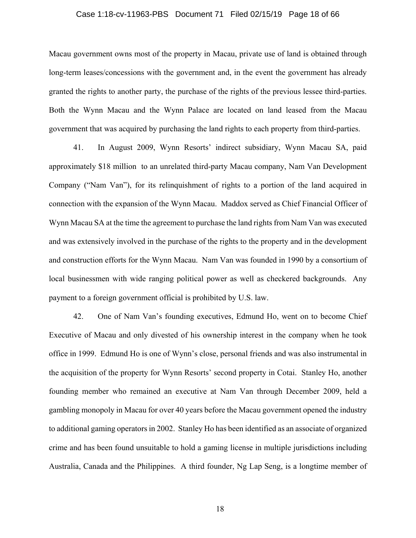#### Case 1:18-cv-11963-PBS Document 71 Filed 02/15/19 Page 18 of 66

Macau government owns most of the property in Macau, private use of land is obtained through long-term leases/concessions with the government and, in the event the government has already granted the rights to another party, the purchase of the rights of the previous lessee third-parties. Both the Wynn Macau and the Wynn Palace are located on land leased from the Macau government that was acquired by purchasing the land rights to each property from third-parties.

41. In August 2009, Wynn Resorts' indirect subsidiary, Wynn Macau SA, paid approximately \$18 million to an unrelated third-party Macau company, Nam Van Development Company ("Nam Van"), for its relinquishment of rights to a portion of the land acquired in connection with the expansion of the Wynn Macau. Maddox served as Chief Financial Officer of Wynn Macau SA at the time the agreement to purchase the land rights from Nam Van was executed and was extensively involved in the purchase of the rights to the property and in the development and construction efforts for the Wynn Macau. Nam Van was founded in 1990 by a consortium of local businessmen with wide ranging political power as well as checkered backgrounds. Any payment to a foreign government official is prohibited by U.S. law.

42. One of Nam Van's founding executives, Edmund Ho, went on to become Chief Executive of Macau and only divested of his ownership interest in the company when he took office in 1999. Edmund Ho is one of Wynn's close, personal friends and was also instrumental in the acquisition of the property for Wynn Resorts' second property in Cotai. Stanley Ho, another founding member who remained an executive at Nam Van through December 2009, held a gambling monopoly in Macau for over 40 years before the Macau government opened the industry to additional gaming operators in 2002. Stanley Ho has been identified as an associate of organized crime and has been found unsuitable to hold a gaming license in multiple jurisdictions including Australia, Canada and the Philippines. A third founder, Ng Lap Seng, is a longtime member of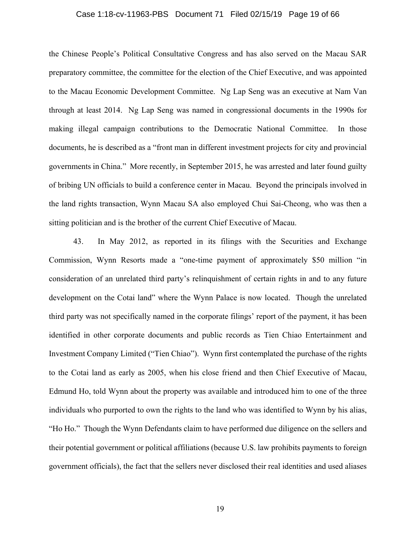#### Case 1:18-cv-11963-PBS Document 71 Filed 02/15/19 Page 19 of 66

the Chinese People's Political Consultative Congress and has also served on the Macau SAR preparatory committee, the committee for the election of the Chief Executive, and was appointed to the Macau Economic Development Committee. Ng Lap Seng was an executive at Nam Van through at least 2014. Ng Lap Seng was named in congressional documents in the 1990s for making illegal campaign contributions to the Democratic National Committee. In those documents, he is described as a "front man in different investment projects for city and provincial governments in China." More recently, in September 2015, he was arrested and later found guilty of bribing UN officials to build a conference center in Macau. Beyond the principals involved in the land rights transaction, Wynn Macau SA also employed Chui Sai-Cheong, who was then a sitting politician and is the brother of the current Chief Executive of Macau.

43. In May 2012, as reported in its filings with the Securities and Exchange Commission, Wynn Resorts made a "one-time payment of approximately \$50 million "in consideration of an unrelated third party's relinquishment of certain rights in and to any future development on the Cotai land" where the Wynn Palace is now located. Though the unrelated third party was not specifically named in the corporate filings' report of the payment, it has been identified in other corporate documents and public records as Tien Chiao Entertainment and Investment Company Limited ("Tien Chiao"). Wynn first contemplated the purchase of the rights to the Cotai land as early as 2005, when his close friend and then Chief Executive of Macau, Edmund Ho, told Wynn about the property was available and introduced him to one of the three individuals who purported to own the rights to the land who was identified to Wynn by his alias, "Ho Ho." Though the Wynn Defendants claim to have performed due diligence on the sellers and their potential government or political affiliations (because U.S. law prohibits payments to foreign government officials), the fact that the sellers never disclosed their real identities and used aliases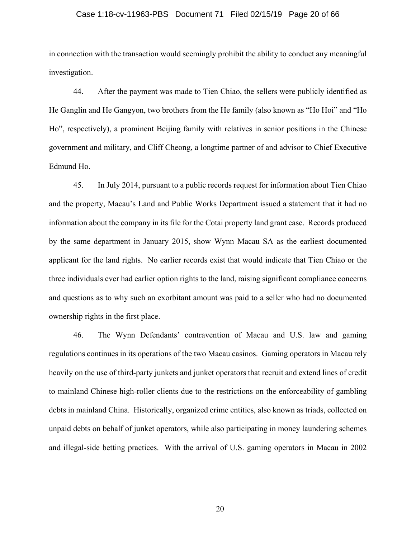#### Case 1:18-cv-11963-PBS Document 71 Filed 02/15/19 Page 20 of 66

in connection with the transaction would seemingly prohibit the ability to conduct any meaningful investigation.

44. After the payment was made to Tien Chiao, the sellers were publicly identified as He Ganglin and He Gangyon, two brothers from the He family (also known as "Ho Hoi" and "Ho Ho", respectively), a prominent Beijing family with relatives in senior positions in the Chinese government and military, and Cliff Cheong, a longtime partner of and advisor to Chief Executive Edmund Ho.

45. In July 2014, pursuant to a public records request for information about Tien Chiao and the property, Macau's Land and Public Works Department issued a statement that it had no information about the company in its file for the Cotai property land grant case. Records produced by the same department in January 2015, show Wynn Macau SA as the earliest documented applicant for the land rights. No earlier records exist that would indicate that Tien Chiao or the three individuals ever had earlier option rights to the land, raising significant compliance concerns and questions as to why such an exorbitant amount was paid to a seller who had no documented ownership rights in the first place.

46. The Wynn Defendants' contravention of Macau and U.S. law and gaming regulations continues in its operations of the two Macau casinos. Gaming operators in Macau rely heavily on the use of third-party junkets and junket operators that recruit and extend lines of credit to mainland Chinese high-roller clients due to the restrictions on the enforceability of gambling debts in mainland China. Historically, organized crime entities, also known as triads, collected on unpaid debts on behalf of junket operators, while also participating in money laundering schemes and illegal-side betting practices. With the arrival of U.S. gaming operators in Macau in 2002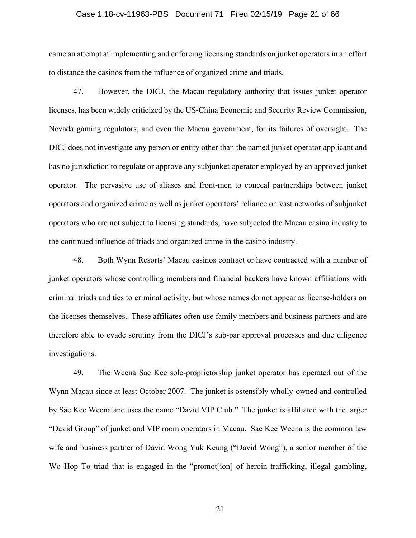#### Case 1:18-cv-11963-PBS Document 71 Filed 02/15/19 Page 21 of 66

came an attempt at implementing and enforcing licensing standards on junket operators in an effort to distance the casinos from the influence of organized crime and triads.

47. However, the DICJ, the Macau regulatory authority that issues junket operator licenses, has been widely criticized by the US-China Economic and Security Review Commission, Nevada gaming regulators, and even the Macau government, for its failures of oversight. The DICJ does not investigate any person or entity other than the named junket operator applicant and has no jurisdiction to regulate or approve any subjunket operator employed by an approved junket operator. The pervasive use of aliases and front-men to conceal partnerships between junket operators and organized crime as well as junket operators' reliance on vast networks of subjunket operators who are not subject to licensing standards, have subjected the Macau casino industry to the continued influence of triads and organized crime in the casino industry.

48. Both Wynn Resorts' Macau casinos contract or have contracted with a number of junket operators whose controlling members and financial backers have known affiliations with criminal triads and ties to criminal activity, but whose names do not appear as license-holders on the licenses themselves. These affiliates often use family members and business partners and are therefore able to evade scrutiny from the DICJ's sub-par approval processes and due diligence investigations.

49. The Weena Sae Kee sole-proprietorship junket operator has operated out of the Wynn Macau since at least October 2007. The junket is ostensibly wholly-owned and controlled by Sae Kee Weena and uses the name "David VIP Club." The junket is affiliated with the larger "David Group" of junket and VIP room operators in Macau. Sae Kee Weena is the common law wife and business partner of David Wong Yuk Keung ("David Wong"), a senior member of the Wo Hop To triad that is engaged in the "promot[ion] of heroin trafficking, illegal gambling,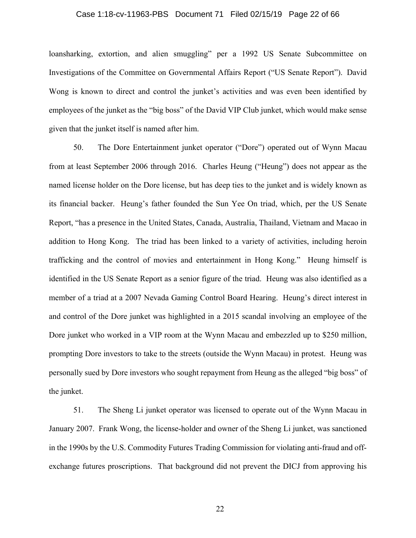#### Case 1:18-cv-11963-PBS Document 71 Filed 02/15/19 Page 22 of 66

loansharking, extortion, and alien smuggling" per a 1992 US Senate Subcommittee on Investigations of the Committee on Governmental Affairs Report ("US Senate Report"). David Wong is known to direct and control the junket's activities and was even been identified by employees of the junket as the "big boss" of the David VIP Club junket, which would make sense given that the junket itself is named after him.

50. The Dore Entertainment junket operator ("Dore") operated out of Wynn Macau from at least September 2006 through 2016. Charles Heung ("Heung") does not appear as the named license holder on the Dore license, but has deep ties to the junket and is widely known as its financial backer. Heung's father founded the Sun Yee On triad, which, per the US Senate Report, "has a presence in the United States, Canada, Australia, Thailand, Vietnam and Macao in addition to Hong Kong. The triad has been linked to a variety of activities, including heroin trafficking and the control of movies and entertainment in Hong Kong." Heung himself is identified in the US Senate Report as a senior figure of the triad. Heung was also identified as a member of a triad at a 2007 Nevada Gaming Control Board Hearing. Heung's direct interest in and control of the Dore junket was highlighted in a 2015 scandal involving an employee of the Dore junket who worked in a VIP room at the Wynn Macau and embezzled up to \$250 million, prompting Dore investors to take to the streets (outside the Wynn Macau) in protest. Heung was personally sued by Dore investors who sought repayment from Heung as the alleged "big boss" of the junket.

51. The Sheng Li junket operator was licensed to operate out of the Wynn Macau in January 2007. Frank Wong, the license-holder and owner of the Sheng Li junket, was sanctioned in the 1990s by the U.S. Commodity Futures Trading Commission for violating anti-fraud and offexchange futures proscriptions. That background did not prevent the DICJ from approving his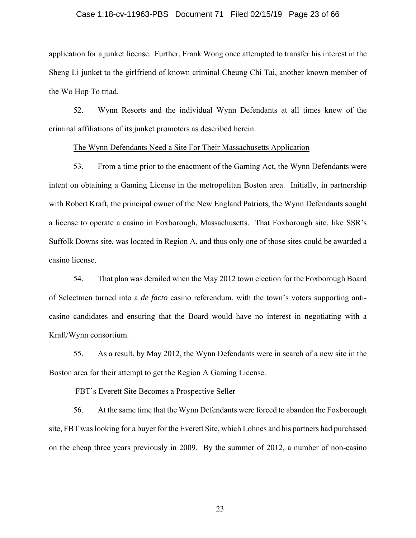#### Case 1:18-cv-11963-PBS Document 71 Filed 02/15/19 Page 23 of 66

application for a junket license. Further, Frank Wong once attempted to transfer his interest in the Sheng Li junket to the girlfriend of known criminal Cheung Chi Tai, another known member of the Wo Hop To triad.

52. Wynn Resorts and the individual Wynn Defendants at all times knew of the criminal affiliations of its junket promoters as described herein.

#### The Wynn Defendants Need a Site For Their Massachusetts Application

53. From a time prior to the enactment of the Gaming Act, the Wynn Defendants were intent on obtaining a Gaming License in the metropolitan Boston area. Initially, in partnership with Robert Kraft, the principal owner of the New England Patriots, the Wynn Defendants sought a license to operate a casino in Foxborough, Massachusetts. That Foxborough site, like SSR's Suffolk Downs site, was located in Region A, and thus only one of those sites could be awarded a casino license.

54. That plan was derailed when the May 2012 town election for the Foxborough Board of Selectmen turned into a *de facto* casino referendum, with the town's voters supporting anticasino candidates and ensuring that the Board would have no interest in negotiating with a Kraft/Wynn consortium.

55. As a result, by May 2012, the Wynn Defendants were in search of a new site in the Boston area for their attempt to get the Region A Gaming License.

#### FBT's Everett Site Becomes a Prospective Seller

56. At the same time that the Wynn Defendants were forced to abandon the Foxborough site, FBT was looking for a buyer for the Everett Site, which Lohnes and his partners had purchased on the cheap three years previously in 2009. By the summer of 2012, a number of non-casino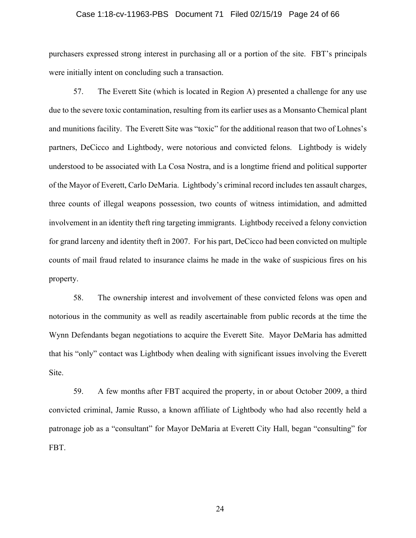#### Case 1:18-cv-11963-PBS Document 71 Filed 02/15/19 Page 24 of 66

purchasers expressed strong interest in purchasing all or a portion of the site. FBT's principals were initially intent on concluding such a transaction.

57. The Everett Site (which is located in Region A) presented a challenge for any use due to the severe toxic contamination, resulting from its earlier uses as a Monsanto Chemical plant and munitions facility. The Everett Site was "toxic" for the additional reason that two of Lohnes's partners, DeCicco and Lightbody, were notorious and convicted felons. Lightbody is widely understood to be associated with La Cosa Nostra, and is a longtime friend and political supporter of the Mayor of Everett, Carlo DeMaria. Lightbody's criminal record includes ten assault charges, three counts of illegal weapons possession, two counts of witness intimidation, and admitted involvement in an identity theft ring targeting immigrants. Lightbody received a felony conviction for grand larceny and identity theft in 2007. For his part, DeCicco had been convicted on multiple counts of mail fraud related to insurance claims he made in the wake of suspicious fires on his property.

58. The ownership interest and involvement of these convicted felons was open and notorious in the community as well as readily ascertainable from public records at the time the Wynn Defendants began negotiations to acquire the Everett Site. Mayor DeMaria has admitted that his "only" contact was Lightbody when dealing with significant issues involving the Everett Site.

59. A few months after FBT acquired the property, in or about October 2009, a third convicted criminal, Jamie Russo, a known affiliate of Lightbody who had also recently held a patronage job as a "consultant" for Mayor DeMaria at Everett City Hall, began "consulting" for FBT.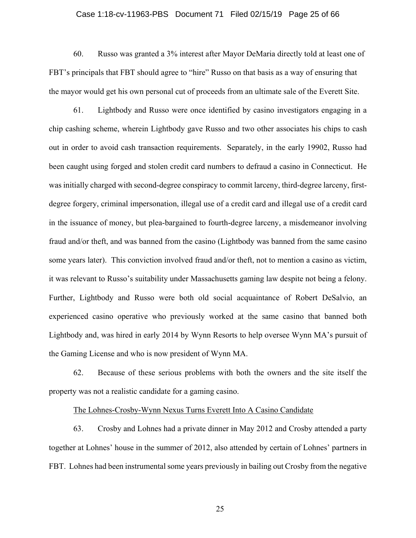#### Case 1:18-cv-11963-PBS Document 71 Filed 02/15/19 Page 25 of 66

60. Russo was granted a 3% interest after Mayor DeMaria directly told at least one of FBT's principals that FBT should agree to "hire" Russo on that basis as a way of ensuring that the mayor would get his own personal cut of proceeds from an ultimate sale of the Everett Site.

61. Lightbody and Russo were once identified by casino investigators engaging in a chip cashing scheme, wherein Lightbody gave Russo and two other associates his chips to cash out in order to avoid cash transaction requirements. Separately, in the early 19902, Russo had been caught using forged and stolen credit card numbers to defraud a casino in Connecticut. He was initially charged with second-degree conspiracy to commit larceny, third-degree larceny, firstdegree forgery, criminal impersonation, illegal use of a credit card and illegal use of a credit card in the issuance of money, but plea-bargained to fourth-degree larceny, a misdemeanor involving fraud and/or theft, and was banned from the casino (Lightbody was banned from the same casino some years later). This conviction involved fraud and/or theft, not to mention a casino as victim, it was relevant to Russo's suitability under Massachusetts gaming law despite not being a felony. Further, Lightbody and Russo were both old social acquaintance of Robert DeSalvio, an experienced casino operative who previously worked at the same casino that banned both Lightbody and, was hired in early 2014 by Wynn Resorts to help oversee Wynn MA's pursuit of the Gaming License and who is now president of Wynn MA.

62. Because of these serious problems with both the owners and the site itself the property was not a realistic candidate for a gaming casino.

#### The Lohnes-Crosby-Wynn Nexus Turns Everett Into A Casino Candidate

63. Crosby and Lohnes had a private dinner in May 2012 and Crosby attended a party together at Lohnes' house in the summer of 2012, also attended by certain of Lohnes' partners in FBT. Lohnes had been instrumental some years previously in bailing out Crosby from the negative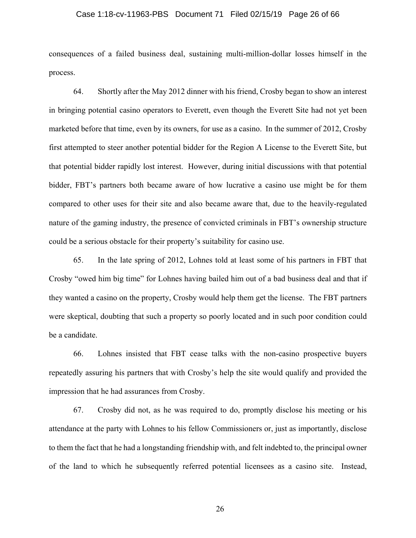#### Case 1:18-cv-11963-PBS Document 71 Filed 02/15/19 Page 26 of 66

consequences of a failed business deal, sustaining multi-million-dollar losses himself in the process.

64. Shortly after the May 2012 dinner with his friend, Crosby began to show an interest in bringing potential casino operators to Everett, even though the Everett Site had not yet been marketed before that time, even by its owners, for use as a casino. In the summer of 2012, Crosby first attempted to steer another potential bidder for the Region A License to the Everett Site, but that potential bidder rapidly lost interest. However, during initial discussions with that potential bidder, FBT's partners both became aware of how lucrative a casino use might be for them compared to other uses for their site and also became aware that, due to the heavily-regulated nature of the gaming industry, the presence of convicted criminals in FBT's ownership structure could be a serious obstacle for their property's suitability for casino use.

65. In the late spring of 2012, Lohnes told at least some of his partners in FBT that Crosby "owed him big time" for Lohnes having bailed him out of a bad business deal and that if they wanted a casino on the property, Crosby would help them get the license. The FBT partners were skeptical, doubting that such a property so poorly located and in such poor condition could be a candidate.

66. Lohnes insisted that FBT cease talks with the non-casino prospective buyers repeatedly assuring his partners that with Crosby's help the site would qualify and provided the impression that he had assurances from Crosby.

67. Crosby did not, as he was required to do, promptly disclose his meeting or his attendance at the party with Lohnes to his fellow Commissioners or, just as importantly, disclose to them the fact that he had a longstanding friendship with, and felt indebted to, the principal owner of the land to which he subsequently referred potential licensees as a casino site. Instead,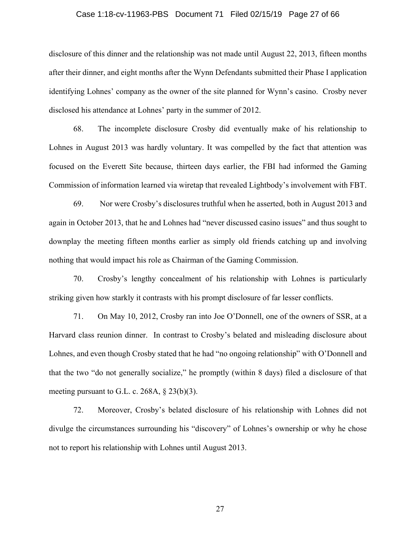#### Case 1:18-cv-11963-PBS Document 71 Filed 02/15/19 Page 27 of 66

disclosure of this dinner and the relationship was not made until August 22, 2013, fifteen months after their dinner, and eight months after the Wynn Defendants submitted their Phase I application identifying Lohnes' company as the owner of the site planned for Wynn's casino. Crosby never disclosed his attendance at Lohnes' party in the summer of 2012.

68. The incomplete disclosure Crosby did eventually make of his relationship to Lohnes in August 2013 was hardly voluntary. It was compelled by the fact that attention was focused on the Everett Site because, thirteen days earlier, the FBI had informed the Gaming Commission of information learned via wiretap that revealed Lightbody's involvement with FBT.

69. Nor were Crosby's disclosures truthful when he asserted, both in August 2013 and again in October 2013, that he and Lohnes had "never discussed casino issues" and thus sought to downplay the meeting fifteen months earlier as simply old friends catching up and involving nothing that would impact his role as Chairman of the Gaming Commission.

70. Crosby's lengthy concealment of his relationship with Lohnes is particularly striking given how starkly it contrasts with his prompt disclosure of far lesser conflicts.

71. On May 10, 2012, Crosby ran into Joe O'Donnell, one of the owners of SSR, at a Harvard class reunion dinner. In contrast to Crosby's belated and misleading disclosure about Lohnes, and even though Crosby stated that he had "no ongoing relationship" with O'Donnell and that the two "do not generally socialize," he promptly (within 8 days) filed a disclosure of that meeting pursuant to G.L. c. 268A, § 23(b)(3).

72. Moreover, Crosby's belated disclosure of his relationship with Lohnes did not divulge the circumstances surrounding his "discovery" of Lohnes's ownership or why he chose not to report his relationship with Lohnes until August 2013.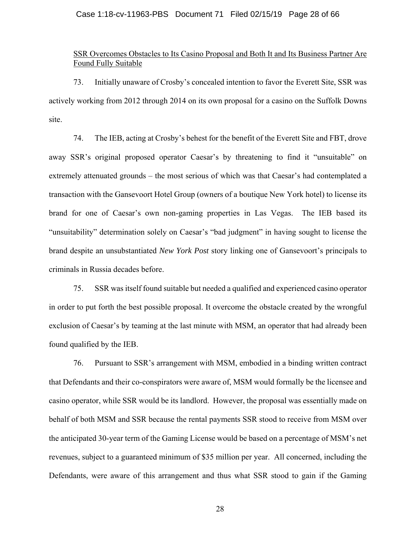#### Case 1:18-cv-11963-PBS Document 71 Filed 02/15/19 Page 28 of 66

### SSR Overcomes Obstacles to Its Casino Proposal and Both It and Its Business Partner Are Found Fully Suitable

73. Initially unaware of Crosby's concealed intention to favor the Everett Site, SSR was actively working from 2012 through 2014 on its own proposal for a casino on the Suffolk Downs site.

74. The IEB, acting at Crosby's behest for the benefit of the Everett Site and FBT, drove away SSR's original proposed operator Caesar's by threatening to find it "unsuitable" on extremely attenuated grounds – the most serious of which was that Caesar's had contemplated a transaction with the Gansevoort Hotel Group (owners of a boutique New York hotel) to license its brand for one of Caesar's own non-gaming properties in Las Vegas. The IEB based its "unsuitability" determination solely on Caesar's "bad judgment" in having sought to license the brand despite an unsubstantiated *New York Post* story linking one of Gansevoort's principals to criminals in Russia decades before.

75. SSR was itself found suitable but needed a qualified and experienced casino operator in order to put forth the best possible proposal. It overcome the obstacle created by the wrongful exclusion of Caesar's by teaming at the last minute with MSM, an operator that had already been found qualified by the IEB.

76. Pursuant to SSR's arrangement with MSM, embodied in a binding written contract that Defendants and their co-conspirators were aware of, MSM would formally be the licensee and casino operator, while SSR would be its landlord. However, the proposal was essentially made on behalf of both MSM and SSR because the rental payments SSR stood to receive from MSM over the anticipated 30-year term of the Gaming License would be based on a percentage of MSM's net revenues, subject to a guaranteed minimum of \$35 million per year. All concerned, including the Defendants, were aware of this arrangement and thus what SSR stood to gain if the Gaming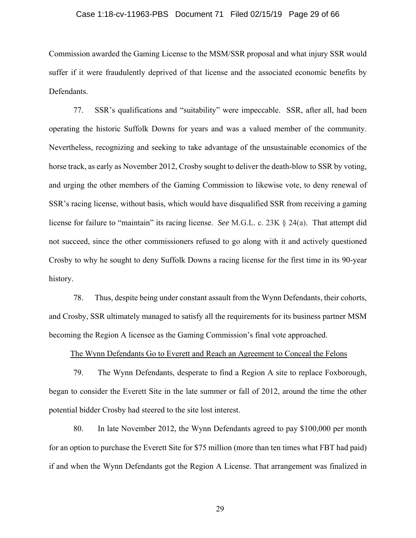#### Case 1:18-cv-11963-PBS Document 71 Filed 02/15/19 Page 29 of 66

Commission awarded the Gaming License to the MSM/SSR proposal and what injury SSR would suffer if it were fraudulently deprived of that license and the associated economic benefits by Defendants.

77. SSR's qualifications and "suitability" were impeccable. SSR, after all, had been operating the historic Suffolk Downs for years and was a valued member of the community. Nevertheless, recognizing and seeking to take advantage of the unsustainable economics of the horse track, as early as November 2012, Crosby sought to deliver the death-blow to SSR by voting, and urging the other members of the Gaming Commission to likewise vote, to deny renewal of SSR's racing license, without basis, which would have disqualified SSR from receiving a gaming license for failure to "maintain" its racing license. *See* M.G.L. c. 23K § 24(a). That attempt did not succeed, since the other commissioners refused to go along with it and actively questioned Crosby to why he sought to deny Suffolk Downs a racing license for the first time in its 90-year history.

78. Thus, despite being under constant assault from the Wynn Defendants, their cohorts, and Crosby, SSR ultimately managed to satisfy all the requirements for its business partner MSM becoming the Region A licensee as the Gaming Commission's final vote approached.

The Wynn Defendants Go to Everett and Reach an Agreement to Conceal the Felons

79. The Wynn Defendants, desperate to find a Region A site to replace Foxborough, began to consider the Everett Site in the late summer or fall of 2012, around the time the other potential bidder Crosby had steered to the site lost interest.

80. In late November 2012, the Wynn Defendants agreed to pay \$100,000 per month for an option to purchase the Everett Site for \$75 million (more than ten times what FBT had paid) if and when the Wynn Defendants got the Region A License. That arrangement was finalized in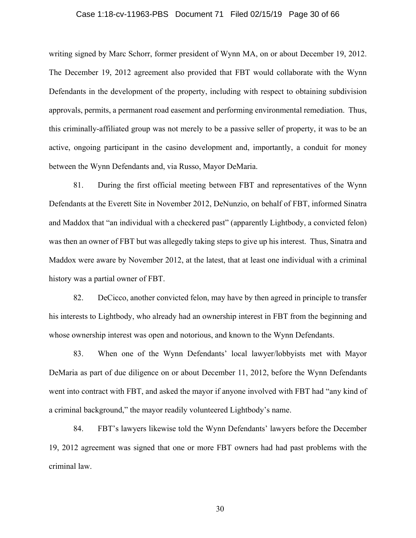#### Case 1:18-cv-11963-PBS Document 71 Filed 02/15/19 Page 30 of 66

writing signed by Marc Schorr, former president of Wynn MA, on or about December 19, 2012. The December 19, 2012 agreement also provided that FBT would collaborate with the Wynn Defendants in the development of the property, including with respect to obtaining subdivision approvals, permits, a permanent road easement and performing environmental remediation. Thus, this criminally-affiliated group was not merely to be a passive seller of property, it was to be an active, ongoing participant in the casino development and, importantly, a conduit for money between the Wynn Defendants and, via Russo, Mayor DeMaria.

81. During the first official meeting between FBT and representatives of the Wynn Defendants at the Everett Site in November 2012, DeNunzio, on behalf of FBT, informed Sinatra and Maddox that "an individual with a checkered past" (apparently Lightbody, a convicted felon) was then an owner of FBT but was allegedly taking steps to give up his interest. Thus, Sinatra and Maddox were aware by November 2012, at the latest, that at least one individual with a criminal history was a partial owner of FBT.

82. DeCicco, another convicted felon, may have by then agreed in principle to transfer his interests to Lightbody, who already had an ownership interest in FBT from the beginning and whose ownership interest was open and notorious, and known to the Wynn Defendants.

83. When one of the Wynn Defendants' local lawyer/lobbyists met with Mayor DeMaria as part of due diligence on or about December 11, 2012, before the Wynn Defendants went into contract with FBT, and asked the mayor if anyone involved with FBT had "any kind of a criminal background," the mayor readily volunteered Lightbody's name.

84. FBT's lawyers likewise told the Wynn Defendants' lawyers before the December 19, 2012 agreement was signed that one or more FBT owners had had past problems with the criminal law.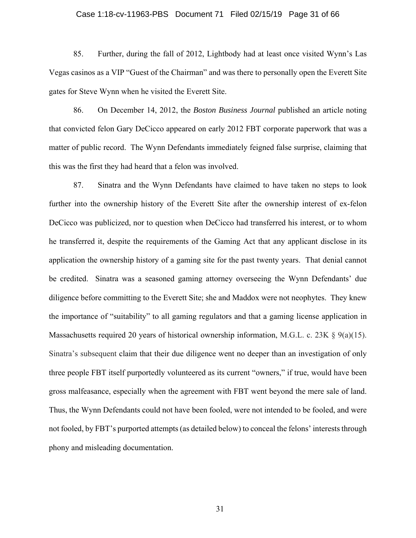#### Case 1:18-cv-11963-PBS Document 71 Filed 02/15/19 Page 31 of 66

85. Further, during the fall of 2012, Lightbody had at least once visited Wynn's Las Vegas casinos as a VIP "Guest of the Chairman" and was there to personally open the Everett Site gates for Steve Wynn when he visited the Everett Site.

86. On December 14, 2012, the *Boston Business Journal* published an article noting that convicted felon Gary DeCicco appeared on early 2012 FBT corporate paperwork that was a matter of public record. The Wynn Defendants immediately feigned false surprise, claiming that this was the first they had heard that a felon was involved.

87. Sinatra and the Wynn Defendants have claimed to have taken no steps to look further into the ownership history of the Everett Site after the ownership interest of ex-felon DeCicco was publicized, nor to question when DeCicco had transferred his interest, or to whom he transferred it, despite the requirements of the Gaming Act that any applicant disclose in its application the ownership history of a gaming site for the past twenty years. That denial cannot be credited. Sinatra was a seasoned gaming attorney overseeing the Wynn Defendants' due diligence before committing to the Everett Site; she and Maddox were not neophytes. They knew the importance of "suitability" to all gaming regulators and that a gaming license application in Massachusetts required 20 years of historical ownership information, M.G.L. c. 23K  $\S$  9(a)(15). Sinatra's subsequent claim that their due diligence went no deeper than an investigation of only three people FBT itself purportedly volunteered as its current "owners," if true, would have been gross malfeasance, especially when the agreement with FBT went beyond the mere sale of land. Thus, the Wynn Defendants could not have been fooled, were not intended to be fooled, and were not fooled, by FBT's purported attempts (as detailed below) to conceal the felons' interests through phony and misleading documentation.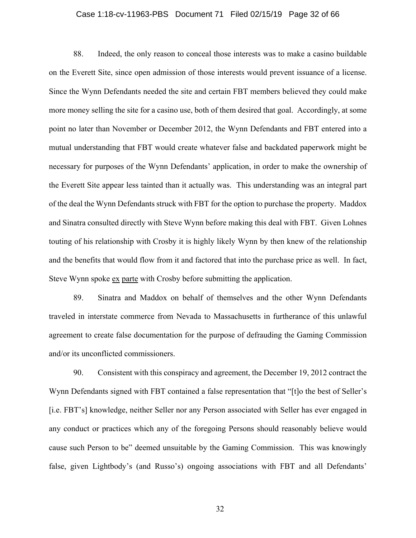# Case 1:18-cv-11963-PBS Document 71 Filed 02/15/19 Page 32 of 66

88. Indeed, the only reason to conceal those interests was to make a casino buildable on the Everett Site, since open admission of those interests would prevent issuance of a license. Since the Wynn Defendants needed the site and certain FBT members believed they could make more money selling the site for a casino use, both of them desired that goal. Accordingly, at some point no later than November or December 2012, the Wynn Defendants and FBT entered into a mutual understanding that FBT would create whatever false and backdated paperwork might be necessary for purposes of the Wynn Defendants' application, in order to make the ownership of the Everett Site appear less tainted than it actually was. This understanding was an integral part of the deal the Wynn Defendants struck with FBT for the option to purchase the property. Maddox and Sinatra consulted directly with Steve Wynn before making this deal with FBT. Given Lohnes touting of his relationship with Crosby it is highly likely Wynn by then knew of the relationship and the benefits that would flow from it and factored that into the purchase price as well. In fact, Steve Wynn spoke ex parte with Crosby before submitting the application.

89. Sinatra and Maddox on behalf of themselves and the other Wynn Defendants traveled in interstate commerce from Nevada to Massachusetts in furtherance of this unlawful agreement to create false documentation for the purpose of defrauding the Gaming Commission and/or its unconflicted commissioners.

90. Consistent with this conspiracy and agreement, the December 19, 2012 contract the Wynn Defendants signed with FBT contained a false representation that "[t]o the best of Seller's [i.e. FBT's] knowledge, neither Seller nor any Person associated with Seller has ever engaged in any conduct or practices which any of the foregoing Persons should reasonably believe would cause such Person to be" deemed unsuitable by the Gaming Commission. This was knowingly false, given Lightbody's (and Russo's) ongoing associations with FBT and all Defendants'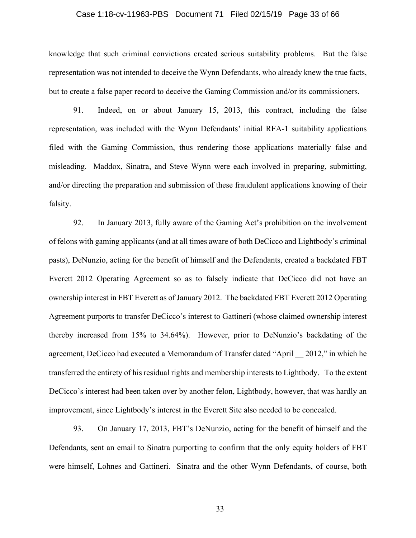#### Case 1:18-cv-11963-PBS Document 71 Filed 02/15/19 Page 33 of 66

knowledge that such criminal convictions created serious suitability problems. But the false representation was not intended to deceive the Wynn Defendants, who already knew the true facts, but to create a false paper record to deceive the Gaming Commission and/or its commissioners.

91. Indeed, on or about January 15, 2013, this contract, including the false representation, was included with the Wynn Defendants' initial RFA-1 suitability applications filed with the Gaming Commission, thus rendering those applications materially false and misleading. Maddox, Sinatra, and Steve Wynn were each involved in preparing, submitting, and/or directing the preparation and submission of these fraudulent applications knowing of their falsity.

92. In January 2013, fully aware of the Gaming Act's prohibition on the involvement of felons with gaming applicants (and at all times aware of both DeCicco and Lightbody's criminal pasts), DeNunzio, acting for the benefit of himself and the Defendants, created a backdated FBT Everett 2012 Operating Agreement so as to falsely indicate that DeCicco did not have an ownership interest in FBT Everett as of January 2012. The backdated FBT Everett 2012 Operating Agreement purports to transfer DeCicco's interest to Gattineri (whose claimed ownership interest thereby increased from 15% to 34.64%). However, prior to DeNunzio's backdating of the agreement, DeCicco had executed a Memorandum of Transfer dated "April \_\_ 2012," in which he transferred the entirety of his residual rights and membership interests to Lightbody. To the extent DeCicco's interest had been taken over by another felon, Lightbody, however, that was hardly an improvement, since Lightbody's interest in the Everett Site also needed to be concealed.

93. On January 17, 2013, FBT's DeNunzio, acting for the benefit of himself and the Defendants, sent an email to Sinatra purporting to confirm that the only equity holders of FBT were himself, Lohnes and Gattineri. Sinatra and the other Wynn Defendants, of course, both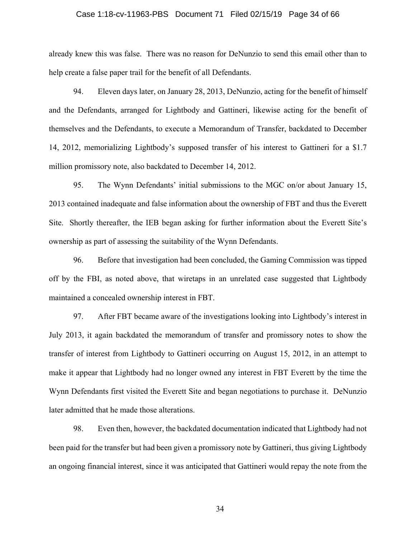#### Case 1:18-cv-11963-PBS Document 71 Filed 02/15/19 Page 34 of 66

already knew this was false. There was no reason for DeNunzio to send this email other than to help create a false paper trail for the benefit of all Defendants.

94. Eleven days later, on January 28, 2013, DeNunzio, acting for the benefit of himself and the Defendants, arranged for Lightbody and Gattineri, likewise acting for the benefit of themselves and the Defendants, to execute a Memorandum of Transfer, backdated to December 14, 2012, memorializing Lightbody's supposed transfer of his interest to Gattineri for a \$1.7 million promissory note, also backdated to December 14, 2012.

95. The Wynn Defendants' initial submissions to the MGC on/or about January 15, 2013 contained inadequate and false information about the ownership of FBT and thus the Everett Site. Shortly thereafter, the IEB began asking for further information about the Everett Site's ownership as part of assessing the suitability of the Wynn Defendants.

96. Before that investigation had been concluded, the Gaming Commission was tipped off by the FBI, as noted above, that wiretaps in an unrelated case suggested that Lightbody maintained a concealed ownership interest in FBT.

97. After FBT became aware of the investigations looking into Lightbody's interest in July 2013, it again backdated the memorandum of transfer and promissory notes to show the transfer of interest from Lightbody to Gattineri occurring on August 15, 2012, in an attempt to make it appear that Lightbody had no longer owned any interest in FBT Everett by the time the Wynn Defendants first visited the Everett Site and began negotiations to purchase it. DeNunzio later admitted that he made those alterations.

98. Even then, however, the backdated documentation indicated that Lightbody had not been paid for the transfer but had been given a promissory note by Gattineri, thus giving Lightbody an ongoing financial interest, since it was anticipated that Gattineri would repay the note from the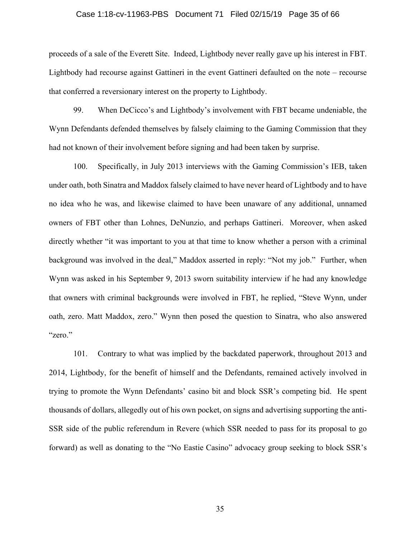#### Case 1:18-cv-11963-PBS Document 71 Filed 02/15/19 Page 35 of 66

proceeds of a sale of the Everett Site. Indeed, Lightbody never really gave up his interest in FBT. Lightbody had recourse against Gattineri in the event Gattineri defaulted on the note – recourse that conferred a reversionary interest on the property to Lightbody.

99. When DeCicco's and Lightbody's involvement with FBT became undeniable, the Wynn Defendants defended themselves by falsely claiming to the Gaming Commission that they had not known of their involvement before signing and had been taken by surprise.

100. Specifically, in July 2013 interviews with the Gaming Commission's IEB, taken under oath, both Sinatra and Maddox falsely claimed to have never heard of Lightbody and to have no idea who he was, and likewise claimed to have been unaware of any additional, unnamed owners of FBT other than Lohnes, DeNunzio, and perhaps Gattineri. Moreover, when asked directly whether "it was important to you at that time to know whether a person with a criminal background was involved in the deal," Maddox asserted in reply: "Not my job." Further, when Wynn was asked in his September 9, 2013 sworn suitability interview if he had any knowledge that owners with criminal backgrounds were involved in FBT, he replied, "Steve Wynn, under oath, zero. Matt Maddox, zero." Wynn then posed the question to Sinatra, who also answered "zero."

101. Contrary to what was implied by the backdated paperwork, throughout 2013 and 2014, Lightbody, for the benefit of himself and the Defendants, remained actively involved in trying to promote the Wynn Defendants' casino bit and block SSR's competing bid. He spent thousands of dollars, allegedly out of his own pocket, on signs and advertising supporting the anti-SSR side of the public referendum in Revere (which SSR needed to pass for its proposal to go forward) as well as donating to the "No Eastie Casino" advocacy group seeking to block SSR's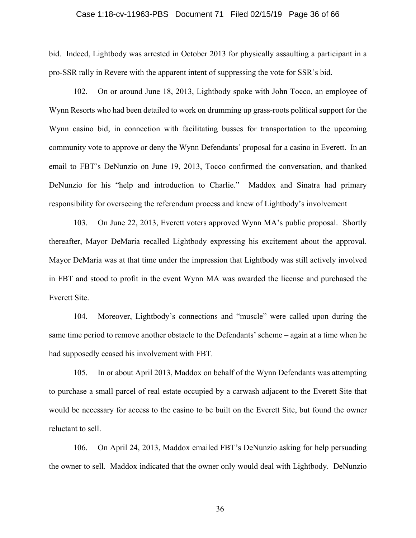#### Case 1:18-cv-11963-PBS Document 71 Filed 02/15/19 Page 36 of 66

bid. Indeed, Lightbody was arrested in October 2013 for physically assaulting a participant in a pro-SSR rally in Revere with the apparent intent of suppressing the vote for SSR's bid.

102. On or around June 18, 2013, Lightbody spoke with John Tocco, an employee of Wynn Resorts who had been detailed to work on drumming up grass-roots political support for the Wynn casino bid, in connection with facilitating busses for transportation to the upcoming community vote to approve or deny the Wynn Defendants' proposal for a casino in Everett. In an email to FBT's DeNunzio on June 19, 2013, Tocco confirmed the conversation, and thanked DeNunzio for his "help and introduction to Charlie." Maddox and Sinatra had primary responsibility for overseeing the referendum process and knew of Lightbody's involvement

103. On June 22, 2013, Everett voters approved Wynn MA's public proposal. Shortly thereafter, Mayor DeMaria recalled Lightbody expressing his excitement about the approval. Mayor DeMaria was at that time under the impression that Lightbody was still actively involved in FBT and stood to profit in the event Wynn MA was awarded the license and purchased the Everett Site.

104. Moreover, Lightbody's connections and "muscle" were called upon during the same time period to remove another obstacle to the Defendants' scheme – again at a time when he had supposedly ceased his involvement with FBT.

105. In or about April 2013, Maddox on behalf of the Wynn Defendants was attempting to purchase a small parcel of real estate occupied by a carwash adjacent to the Everett Site that would be necessary for access to the casino to be built on the Everett Site, but found the owner reluctant to sell.

106. On April 24, 2013, Maddox emailed FBT's DeNunzio asking for help persuading the owner to sell. Maddox indicated that the owner only would deal with Lightbody. DeNunzio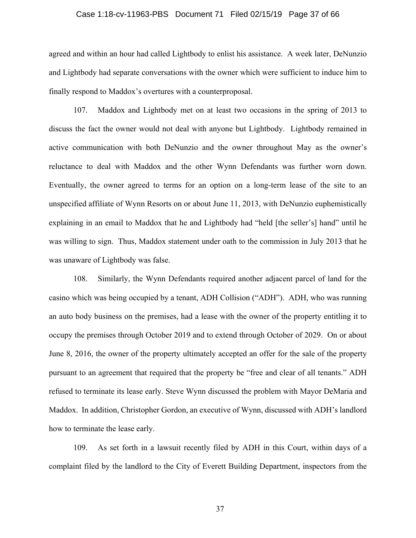#### Case 1:18-cv-11963-PBS Document 71 Filed 02/15/19 Page 37 of 66

agreed and within an hour had called Lightbody to enlist his assistance. A week later, DeNunzio and Lightbody had separate conversations with the owner which were sufficient to induce him to finally respond to Maddox's overtures with a counterproposal.

107. Maddox and Lightbody met on at least two occasions in the spring of 2013 to discuss the fact the owner would not deal with anyone but Lightbody. Lightbody remained in active communication with both DeNunzio and the owner throughout May as the owner's reluctance to deal with Maddox and the other Wynn Defendants was further worn down. Eventually, the owner agreed to terms for an option on a long-term lease of the site to an unspecified affiliate of Wynn Resorts on or about June 11, 2013, with DeNunzio euphemistically explaining in an email to Maddox that he and Lightbody had "held [the seller's] hand" until he was willing to sign. Thus, Maddox statement under oath to the commission in July 2013 that he was unaware of Lightbody was false.

108. Similarly, the Wynn Defendants required another adjacent parcel of land for the casino which was being occupied by a tenant, ADH Collision ("ADH"). ADH, who was running an auto body business on the premises, had a lease with the owner of the property entitling it to occupy the premises through October 2019 and to extend through October of 2029. On or about June 8, 2016, the owner of the property ultimately accepted an offer for the sale of the property pursuant to an agreement that required that the property be "free and clear of all tenants." ADH refused to terminate its lease early. Steve Wynn discussed the problem with Mayor DeMaria and Maddox. In addition, Christopher Gordon, an executive of Wynn, discussed with ADH's landlord how to terminate the lease early.

109. As set forth in a lawsuit recently filed by ADH in this Court, within days of a complaint filed by the landlord to the City of Everett Building Department, inspectors from the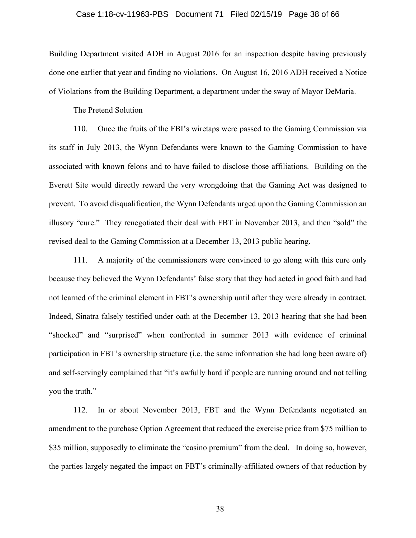#### Case 1:18-cv-11963-PBS Document 71 Filed 02/15/19 Page 38 of 66

Building Department visited ADH in August 2016 for an inspection despite having previously done one earlier that year and finding no violations. On August 16, 2016 ADH received a Notice of Violations from the Building Department, a department under the sway of Mayor DeMaria.

#### The Pretend Solution

110. Once the fruits of the FBI's wiretaps were passed to the Gaming Commission via its staff in July 2013, the Wynn Defendants were known to the Gaming Commission to have associated with known felons and to have failed to disclose those affiliations. Building on the Everett Site would directly reward the very wrongdoing that the Gaming Act was designed to prevent. To avoid disqualification, the Wynn Defendants urged upon the Gaming Commission an illusory "cure." They renegotiated their deal with FBT in November 2013, and then "sold" the revised deal to the Gaming Commission at a December 13, 2013 public hearing.

111. A majority of the commissioners were convinced to go along with this cure only because they believed the Wynn Defendants' false story that they had acted in good faith and had not learned of the criminal element in FBT's ownership until after they were already in contract. Indeed, Sinatra falsely testified under oath at the December 13, 2013 hearing that she had been "shocked" and "surprised" when confronted in summer 2013 with evidence of criminal participation in FBT's ownership structure (i.e. the same information she had long been aware of) and self-servingly complained that "it's awfully hard if people are running around and not telling you the truth."

112. In or about November 2013, FBT and the Wynn Defendants negotiated an amendment to the purchase Option Agreement that reduced the exercise price from \$75 million to \$35 million, supposedly to eliminate the "casino premium" from the deal. In doing so, however, the parties largely negated the impact on FBT's criminally-affiliated owners of that reduction by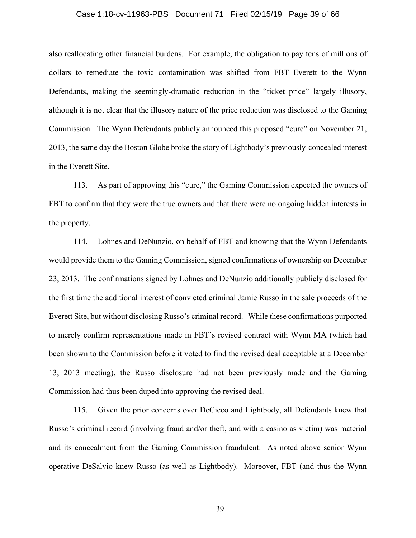#### Case 1:18-cv-11963-PBS Document 71 Filed 02/15/19 Page 39 of 66

also reallocating other financial burdens. For example, the obligation to pay tens of millions of dollars to remediate the toxic contamination was shifted from FBT Everett to the Wynn Defendants, making the seemingly-dramatic reduction in the "ticket price" largely illusory, although it is not clear that the illusory nature of the price reduction was disclosed to the Gaming Commission. The Wynn Defendants publicly announced this proposed "cure" on November 21, 2013, the same day the Boston Globe broke the story of Lightbody's previously-concealed interest in the Everett Site.

113. As part of approving this "cure," the Gaming Commission expected the owners of FBT to confirm that they were the true owners and that there were no ongoing hidden interests in the property.

114. Lohnes and DeNunzio, on behalf of FBT and knowing that the Wynn Defendants would provide them to the Gaming Commission, signed confirmations of ownership on December 23, 2013. The confirmations signed by Lohnes and DeNunzio additionally publicly disclosed for the first time the additional interest of convicted criminal Jamie Russo in the sale proceeds of the Everett Site, but without disclosing Russo's criminal record. While these confirmations purported to merely confirm representations made in FBT's revised contract with Wynn MA (which had been shown to the Commission before it voted to find the revised deal acceptable at a December 13, 2013 meeting), the Russo disclosure had not been previously made and the Gaming Commission had thus been duped into approving the revised deal.

115. Given the prior concerns over DeCicco and Lightbody, all Defendants knew that Russo's criminal record (involving fraud and/or theft, and with a casino as victim) was material and its concealment from the Gaming Commission fraudulent. As noted above senior Wynn operative DeSalvio knew Russo (as well as Lightbody). Moreover, FBT (and thus the Wynn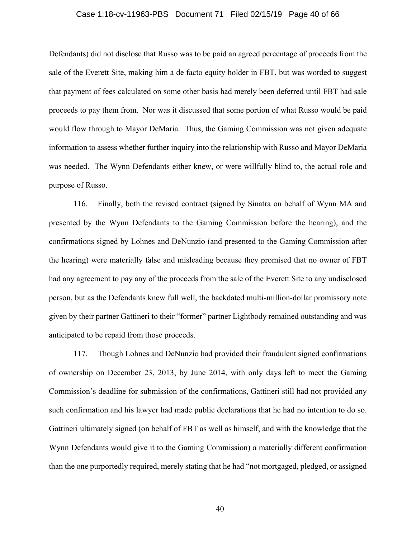#### Case 1:18-cv-11963-PBS Document 71 Filed 02/15/19 Page 40 of 66

Defendants) did not disclose that Russo was to be paid an agreed percentage of proceeds from the sale of the Everett Site, making him a de facto equity holder in FBT, but was worded to suggest that payment of fees calculated on some other basis had merely been deferred until FBT had sale proceeds to pay them from. Nor was it discussed that some portion of what Russo would be paid would flow through to Mayor DeMaria. Thus, the Gaming Commission was not given adequate information to assess whether further inquiry into the relationship with Russo and Mayor DeMaria was needed. The Wynn Defendants either knew, or were willfully blind to, the actual role and purpose of Russo.

116. Finally, both the revised contract (signed by Sinatra on behalf of Wynn MA and presented by the Wynn Defendants to the Gaming Commission before the hearing), and the confirmations signed by Lohnes and DeNunzio (and presented to the Gaming Commission after the hearing) were materially false and misleading because they promised that no owner of FBT had any agreement to pay any of the proceeds from the sale of the Everett Site to any undisclosed person, but as the Defendants knew full well, the backdated multi-million-dollar promissory note given by their partner Gattineri to their "former" partner Lightbody remained outstanding and was anticipated to be repaid from those proceeds.

117. Though Lohnes and DeNunzio had provided their fraudulent signed confirmations of ownership on December 23, 2013, by June 2014, with only days left to meet the Gaming Commission's deadline for submission of the confirmations, Gattineri still had not provided any such confirmation and his lawyer had made public declarations that he had no intention to do so. Gattineri ultimately signed (on behalf of FBT as well as himself, and with the knowledge that the Wynn Defendants would give it to the Gaming Commission) a materially different confirmation than the one purportedly required, merely stating that he had "not mortgaged, pledged, or assigned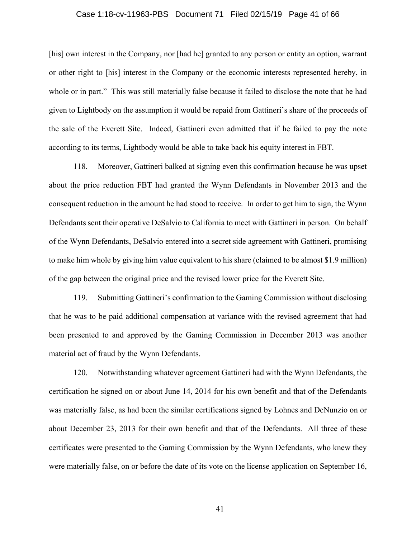#### Case 1:18-cv-11963-PBS Document 71 Filed 02/15/19 Page 41 of 66

[his] own interest in the Company, nor [had he] granted to any person or entity an option, warrant or other right to [his] interest in the Company or the economic interests represented hereby, in whole or in part." This was still materially false because it failed to disclose the note that he had given to Lightbody on the assumption it would be repaid from Gattineri's share of the proceeds of the sale of the Everett Site. Indeed, Gattineri even admitted that if he failed to pay the note according to its terms, Lightbody would be able to take back his equity interest in FBT.

118. Moreover, Gattineri balked at signing even this confirmation because he was upset about the price reduction FBT had granted the Wynn Defendants in November 2013 and the consequent reduction in the amount he had stood to receive. In order to get him to sign, the Wynn Defendants sent their operative DeSalvio to California to meet with Gattineri in person. On behalf of the Wynn Defendants, DeSalvio entered into a secret side agreement with Gattineri, promising to make him whole by giving him value equivalent to his share (claimed to be almost \$1.9 million) of the gap between the original price and the revised lower price for the Everett Site.

119. Submitting Gattineri's confirmation to the Gaming Commission without disclosing that he was to be paid additional compensation at variance with the revised agreement that had been presented to and approved by the Gaming Commission in December 2013 was another material act of fraud by the Wynn Defendants.

120. Notwithstanding whatever agreement Gattineri had with the Wynn Defendants, the certification he signed on or about June 14, 2014 for his own benefit and that of the Defendants was materially false, as had been the similar certifications signed by Lohnes and DeNunzio on or about December 23, 2013 for their own benefit and that of the Defendants. All three of these certificates were presented to the Gaming Commission by the Wynn Defendants, who knew they were materially false, on or before the date of its vote on the license application on September 16,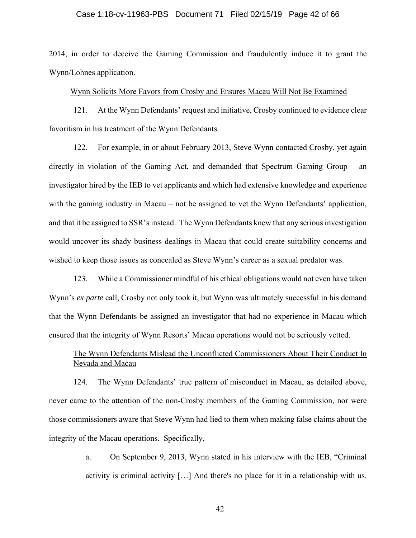#### Case 1:18-cv-11963-PBS Document 71 Filed 02/15/19 Page 42 of 66

2014, in order to deceive the Gaming Commission and fraudulently induce it to grant the Wynn/Lohnes application.

### Wynn Solicits More Favors from Crosby and Ensures Macau Will Not Be Examined

121. At the Wynn Defendants' request and initiative, Crosby continued to evidence clear favoritism in his treatment of the Wynn Defendants.

122. For example, in or about February 2013, Steve Wynn contacted Crosby, yet again directly in violation of the Gaming Act, and demanded that Spectrum Gaming Group – an investigator hired by the IEB to vet applicants and which had extensive knowledge and experience with the gaming industry in Macau – not be assigned to vet the Wynn Defendants' application, and that it be assigned to SSR's instead. The Wynn Defendants knew that any serious investigation would uncover its shady business dealings in Macau that could create suitability concerns and wished to keep those issues as concealed as Steve Wynn's career as a sexual predator was.

123. While a Commissioner mindful of his ethical obligations would not even have taken Wynn's *ex parte* call, Crosby not only took it, but Wynn was ultimately successful in his demand that the Wynn Defendants be assigned an investigator that had no experience in Macau which ensured that the integrity of Wynn Resorts' Macau operations would not be seriously vetted.

# The Wynn Defendants Mislead the Unconflicted Commissioners About Their Conduct In Nevada and Macau

124. The Wynn Defendants' true pattern of misconduct in Macau, as detailed above, never came to the attention of the non-Crosby members of the Gaming Commission, nor were those commissioners aware that Steve Wynn had lied to them when making false claims about the integrity of the Macau operations. Specifically,

> a. On September 9, 2013, Wynn stated in his interview with the IEB, "Criminal activity is criminal activity […] And there's no place for it in a relationship with us.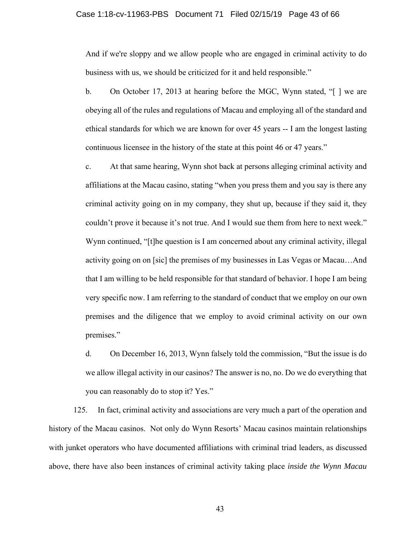### Case 1:18-cv-11963-PBS Document 71 Filed 02/15/19 Page 43 of 66

And if we're sloppy and we allow people who are engaged in criminal activity to do business with us, we should be criticized for it and held responsible."

b. On October 17, 2013 at hearing before the MGC, Wynn stated, "[ ] we are obeying all of the rules and regulations of Macau and employing all of the standard and ethical standards for which we are known for over 45 years -- I am the longest lasting continuous licensee in the history of the state at this point 46 or 47 years."

c. At that same hearing, Wynn shot back at persons alleging criminal activity and affiliations at the Macau casino, stating "when you press them and you say is there any criminal activity going on in my company, they shut up, because if they said it, they couldn't prove it because it's not true. And I would sue them from here to next week." Wynn continued, "[t]he question is I am concerned about any criminal activity, illegal activity going on on [sic] the premises of my businesses in Las Vegas or Macau…And that I am willing to be held responsible for that standard of behavior. I hope I am being very specific now. I am referring to the standard of conduct that we employ on our own premises and the diligence that we employ to avoid criminal activity on our own premises."

d. On December 16, 2013, Wynn falsely told the commission, "But the issue is do we allow illegal activity in our casinos? The answer is no, no. Do we do everything that you can reasonably do to stop it? Yes."

125. In fact, criminal activity and associations are very much a part of the operation and history of the Macau casinos. Not only do Wynn Resorts' Macau casinos maintain relationships with junket operators who have documented affiliations with criminal triad leaders, as discussed above, there have also been instances of criminal activity taking place *inside the Wynn Macau*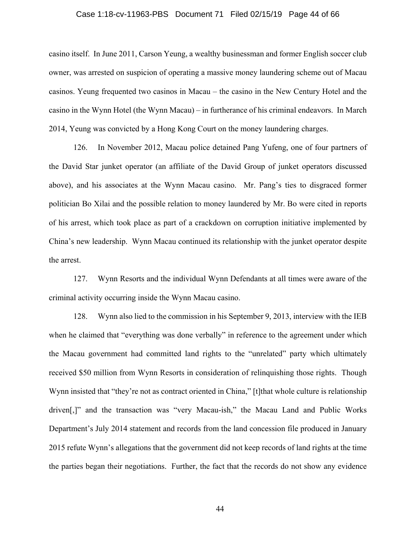#### Case 1:18-cv-11963-PBS Document 71 Filed 02/15/19 Page 44 of 66

casino itself. In June 2011, Carson Yeung, a wealthy businessman and former English soccer club owner, was arrested on suspicion of operating a massive money laundering scheme out of Macau casinos. Yeung frequented two casinos in Macau – the casino in the New Century Hotel and the casino in the Wynn Hotel (the Wynn Macau) – in furtherance of his criminal endeavors. In March 2014, Yeung was convicted by a Hong Kong Court on the money laundering charges.

126. In November 2012, Macau police detained Pang Yufeng, one of four partners of the David Star junket operator (an affiliate of the David Group of junket operators discussed above), and his associates at the Wynn Macau casino. Mr. Pang's ties to disgraced former politician Bo Xilai and the possible relation to money laundered by Mr. Bo were cited in reports of his arrest, which took place as part of a crackdown on corruption initiative implemented by China's new leadership. Wynn Macau continued its relationship with the junket operator despite the arrest.

127. Wynn Resorts and the individual Wynn Defendants at all times were aware of the criminal activity occurring inside the Wynn Macau casino.

128. Wynn also lied to the commission in his September 9, 2013, interview with the IEB when he claimed that "everything was done verbally" in reference to the agreement under which the Macau government had committed land rights to the "unrelated" party which ultimately received \$50 million from Wynn Resorts in consideration of relinquishing those rights. Though Wynn insisted that "they're not as contract oriented in China," [t]that whole culture is relationship driven[,]" and the transaction was "very Macau-ish," the Macau Land and Public Works Department's July 2014 statement and records from the land concession file produced in January 2015 refute Wynn's allegations that the government did not keep records of land rights at the time the parties began their negotiations. Further, the fact that the records do not show any evidence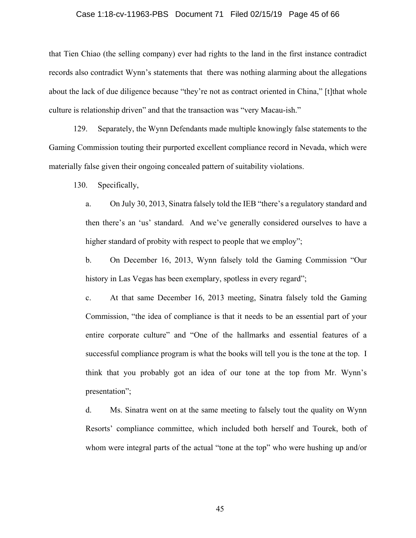#### Case 1:18-cv-11963-PBS Document 71 Filed 02/15/19 Page 45 of 66

that Tien Chiao (the selling company) ever had rights to the land in the first instance contradict records also contradict Wynn's statements that there was nothing alarming about the allegations about the lack of due diligence because "they're not as contract oriented in China," [t]that whole culture is relationship driven" and that the transaction was "very Macau-ish."

129. Separately, the Wynn Defendants made multiple knowingly false statements to the Gaming Commission touting their purported excellent compliance record in Nevada, which were materially false given their ongoing concealed pattern of suitability violations.

130. Specifically,

a. On July 30, 2013, Sinatra falsely told the IEB "there's a regulatory standard and then there's an 'us' standard. And we've generally considered ourselves to have a higher standard of probity with respect to people that we employ";

b. On December 16, 2013, Wynn falsely told the Gaming Commission "Our history in Las Vegas has been exemplary, spotless in every regard";

c. At that same December 16, 2013 meeting, Sinatra falsely told the Gaming Commission, "the idea of compliance is that it needs to be an essential part of your entire corporate culture" and "One of the hallmarks and essential features of a successful compliance program is what the books will tell you is the tone at the top. I think that you probably got an idea of our tone at the top from Mr. Wynn's presentation";

d. Ms. Sinatra went on at the same meeting to falsely tout the quality on Wynn Resorts' compliance committee, which included both herself and Tourek, both of whom were integral parts of the actual "tone at the top" who were hushing up and/or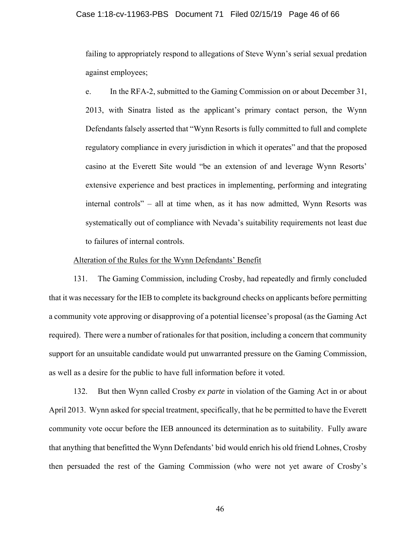#### Case 1:18-cv-11963-PBS Document 71 Filed 02/15/19 Page 46 of 66

failing to appropriately respond to allegations of Steve Wynn's serial sexual predation against employees;

e. In the RFA-2, submitted to the Gaming Commission on or about December 31, 2013, with Sinatra listed as the applicant's primary contact person, the Wynn Defendants falsely asserted that "Wynn Resorts is fully committed to full and complete regulatory compliance in every jurisdiction in which it operates" and that the proposed casino at the Everett Site would "be an extension of and leverage Wynn Resorts' extensive experience and best practices in implementing, performing and integrating internal controls" – all at time when, as it has now admitted, Wynn Resorts was systematically out of compliance with Nevada's suitability requirements not least due to failures of internal controls.

# Alteration of the Rules for the Wynn Defendants' Benefit

131. The Gaming Commission, including Crosby, had repeatedly and firmly concluded that it was necessary for the IEB to complete its background checks on applicants before permitting a community vote approving or disapproving of a potential licensee's proposal (as the Gaming Act required). There were a number of rationales for that position, including a concern that community support for an unsuitable candidate would put unwarranted pressure on the Gaming Commission, as well as a desire for the public to have full information before it voted.

132. But then Wynn called Crosby *ex parte* in violation of the Gaming Act in or about April 2013. Wynn asked for special treatment, specifically, that he be permitted to have the Everett community vote occur before the IEB announced its determination as to suitability. Fully aware that anything that benefitted the Wynn Defendants' bid would enrich his old friend Lohnes, Crosby then persuaded the rest of the Gaming Commission (who were not yet aware of Crosby's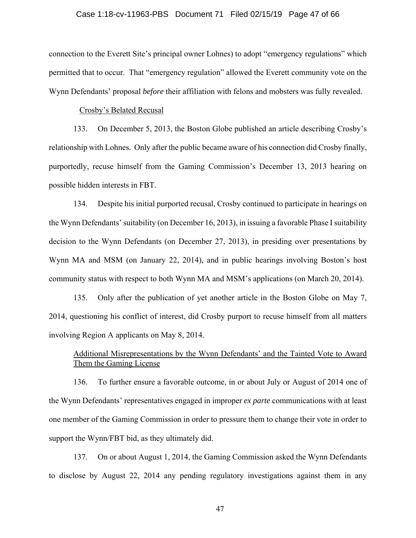#### Case 1:18-cv-11963-PBS Document 71 Filed 02/15/19 Page 47 of 66

connection to the Everett Site's principal owner Lohnes) to adopt "emergency regulations" which permitted that to occur. That "emergency regulation" allowed the Everett community vote on the Wynn Defendants' proposal *before* their affiliation with felons and mobsters was fully revealed.

#### Crosby's Belated Recusal

133. On December 5, 2013, the Boston Globe published an article describing Crosby's relationship with Lohnes. Only after the public became aware of his connection did Crosby finally, purportedly, recuse himself from the Gaming Commission's December 13, 2013 hearing on possible hidden interests in FBT.

134. Despite his initial purported recusal, Crosby continued to participate in hearings on the Wynn Defendants' suitability (on December 16, 2013), in issuing a favorable Phase I suitability decision to the Wynn Defendants (on December 27, 2013), in presiding over presentations by Wynn MA and MSM (on January 22, 2014), and in public hearings involving Boston's host community status with respect to both Wynn MA and MSM's applications (on March 20, 2014).

135. Only after the publication of yet another article in the Boston Globe on May 7, 2014, questioning his conflict of interest, did Crosby purport to recuse himself from all matters involving Region A applicants on May 8, 2014.

# Additional Misrepresentations by the Wynn Defendants' and the Tainted Vote to Award Them the Gaming License

136. To further ensure a favorable outcome, in or about July or August of 2014 one of the Wynn Defendants' representatives engaged in improper *ex parte* communications with at least one member of the Gaming Commission in order to pressure them to change their vote in order to support the Wynn/FBT bid, as they ultimately did.

137. On or about August 1, 2014, the Gaming Commission asked the Wynn Defendants to disclose by August 22, 2014 any pending regulatory investigations against them in any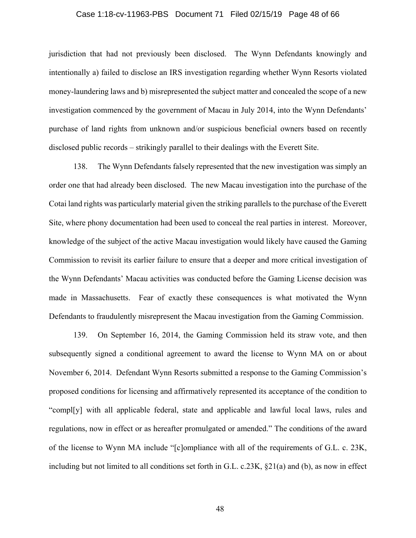#### Case 1:18-cv-11963-PBS Document 71 Filed 02/15/19 Page 48 of 66

jurisdiction that had not previously been disclosed. The Wynn Defendants knowingly and intentionally a) failed to disclose an IRS investigation regarding whether Wynn Resorts violated money-laundering laws and b) misrepresented the subject matter and concealed the scope of a new investigation commenced by the government of Macau in July 2014, into the Wynn Defendants' purchase of land rights from unknown and/or suspicious beneficial owners based on recently disclosed public records – strikingly parallel to their dealings with the Everett Site.

138. The Wynn Defendants falsely represented that the new investigation was simply an order one that had already been disclosed. The new Macau investigation into the purchase of the Cotai land rights was particularly material given the striking parallels to the purchase of the Everett Site, where phony documentation had been used to conceal the real parties in interest. Moreover, knowledge of the subject of the active Macau investigation would likely have caused the Gaming Commission to revisit its earlier failure to ensure that a deeper and more critical investigation of the Wynn Defendants' Macau activities was conducted before the Gaming License decision was made in Massachusetts. Fear of exactly these consequences is what motivated the Wynn Defendants to fraudulently misrepresent the Macau investigation from the Gaming Commission.

139. On September 16, 2014, the Gaming Commission held its straw vote, and then subsequently signed a conditional agreement to award the license to Wynn MA on or about November 6, 2014. Defendant Wynn Resorts submitted a response to the Gaming Commission's proposed conditions for licensing and affirmatively represented its acceptance of the condition to "compl[y] with all applicable federal, state and applicable and lawful local laws, rules and regulations, now in effect or as hereafter promulgated or amended." The conditions of the award of the license to Wynn MA include "[c]ompliance with all of the requirements of G.L. c. 23K, including but not limited to all conditions set forth in G.L. c.23K,  $\S21(a)$  and (b), as now in effect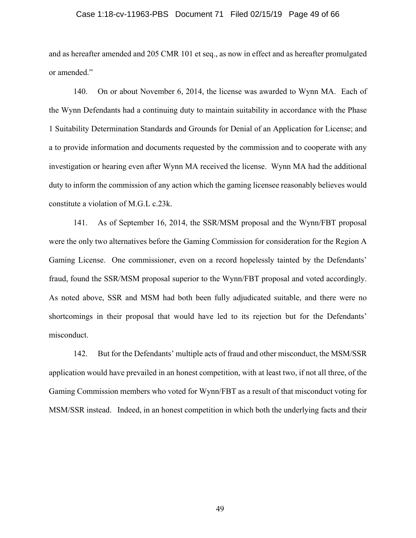#### Case 1:18-cv-11963-PBS Document 71 Filed 02/15/19 Page 49 of 66

and as hereafter amended and 205 CMR 101 et seq., as now in effect and as hereafter promulgated or amended."

140. On or about November 6, 2014, the license was awarded to Wynn MA. Each of the Wynn Defendants had a continuing duty to maintain suitability in accordance with the Phase 1 Suitability Determination Standards and Grounds for Denial of an Application for License; and a to provide information and documents requested by the commission and to cooperate with any investigation or hearing even after Wynn MA received the license. Wynn MA had the additional duty to inform the commission of any action which the gaming licensee reasonably believes would constitute a violation of M.G.L c.23k.

141. As of September 16, 2014, the SSR/MSM proposal and the Wynn/FBT proposal were the only two alternatives before the Gaming Commission for consideration for the Region A Gaming License. One commissioner, even on a record hopelessly tainted by the Defendants' fraud, found the SSR/MSM proposal superior to the Wynn/FBT proposal and voted accordingly. As noted above, SSR and MSM had both been fully adjudicated suitable, and there were no shortcomings in their proposal that would have led to its rejection but for the Defendants' misconduct.

142. But for the Defendants' multiple acts of fraud and other misconduct, the MSM/SSR application would have prevailed in an honest competition, with at least two, if not all three, of the Gaming Commission members who voted for Wynn/FBT as a result of that misconduct voting for MSM/SSR instead. Indeed, in an honest competition in which both the underlying facts and their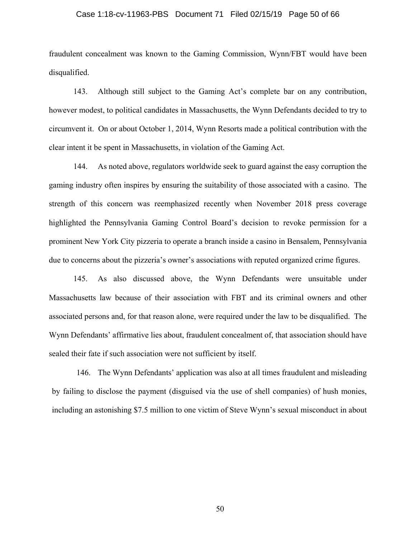#### Case 1:18-cv-11963-PBS Document 71 Filed 02/15/19 Page 50 of 66

fraudulent concealment was known to the Gaming Commission, Wynn/FBT would have been disqualified.

143. Although still subject to the Gaming Act's complete bar on any contribution, however modest, to political candidates in Massachusetts, the Wynn Defendants decided to try to circumvent it. On or about October 1, 2014, Wynn Resorts made a political contribution with the clear intent it be spent in Massachusetts, in violation of the Gaming Act.

144. As noted above, regulators worldwide seek to guard against the easy corruption the gaming industry often inspires by ensuring the suitability of those associated with a casino. The strength of this concern was reemphasized recently when November 2018 press coverage highlighted the Pennsylvania Gaming Control Board's decision to revoke permission for a prominent New York City pizzeria to operate a branch inside a casino in Bensalem, Pennsylvania due to concerns about the pizzeria's owner's associations with reputed organized crime figures.

145. As also discussed above, the Wynn Defendants were unsuitable under Massachusetts law because of their association with FBT and its criminal owners and other associated persons and, for that reason alone, were required under the law to be disqualified. The Wynn Defendants' affirmative lies about, fraudulent concealment of, that association should have sealed their fate if such association were not sufficient by itself.

146. The Wynn Defendants' application was also at all times fraudulent and misleading by failing to disclose the payment (disguised via the use of shell companies) of hush monies, including an astonishing \$7.5 million to one victim of Steve Wynn's sexual misconduct in about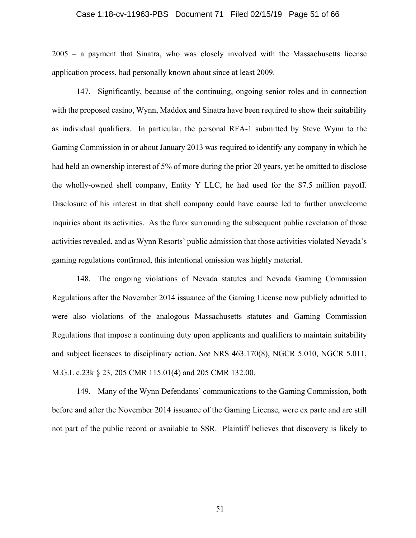#### Case 1:18-cv-11963-PBS Document 71 Filed 02/15/19 Page 51 of 66

2005 – a payment that Sinatra, who was closely involved with the Massachusetts license application process, had personally known about since at least 2009.

147. Significantly, because of the continuing, ongoing senior roles and in connection with the proposed casino, Wynn, Maddox and Sinatra have been required to show their suitability as individual qualifiers. In particular, the personal RFA-1 submitted by Steve Wynn to the Gaming Commission in or about January 2013 was required to identify any company in which he had held an ownership interest of 5% of more during the prior 20 years, yet he omitted to disclose the wholly-owned shell company, Entity Y LLC, he had used for the \$7.5 million payoff. Disclosure of his interest in that shell company could have course led to further unwelcome inquiries about its activities. As the furor surrounding the subsequent public revelation of those activities revealed, and as Wynn Resorts' public admission that those activities violated Nevada's gaming regulations confirmed, this intentional omission was highly material.

148. The ongoing violations of Nevada statutes and Nevada Gaming Commission Regulations after the November 2014 issuance of the Gaming License now publicly admitted to were also violations of the analogous Massachusetts statutes and Gaming Commission Regulations that impose a continuing duty upon applicants and qualifiers to maintain suitability and subject licensees to disciplinary action. *See* NRS 463.170(8), NGCR 5.010, NGCR 5.011, M.G.L c.23k § 23, 205 CMR 115.01(4) and 205 CMR 132.00.

149. Many of the Wynn Defendants' communications to the Gaming Commission, both before and after the November 2014 issuance of the Gaming License, were ex parte and are still not part of the public record or available to SSR. Plaintiff believes that discovery is likely to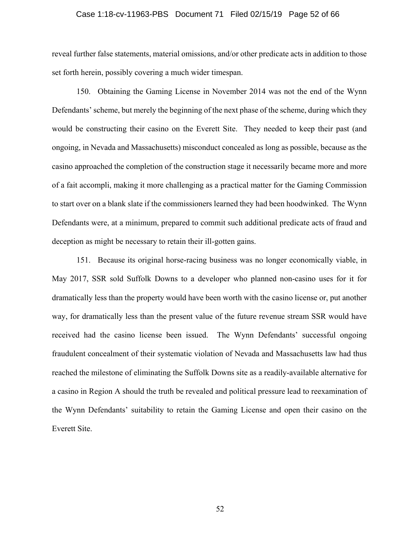#### Case 1:18-cv-11963-PBS Document 71 Filed 02/15/19 Page 52 of 66

reveal further false statements, material omissions, and/or other predicate acts in addition to those set forth herein, possibly covering a much wider timespan.

150. Obtaining the Gaming License in November 2014 was not the end of the Wynn Defendants' scheme, but merely the beginning of the next phase of the scheme, during which they would be constructing their casino on the Everett Site. They needed to keep their past (and ongoing, in Nevada and Massachusetts) misconduct concealed as long as possible, because as the casino approached the completion of the construction stage it necessarily became more and more of a fait accompli, making it more challenging as a practical matter for the Gaming Commission to start over on a blank slate if the commissioners learned they had been hoodwinked. The Wynn Defendants were, at a minimum, prepared to commit such additional predicate acts of fraud and deception as might be necessary to retain their ill-gotten gains.

151. Because its original horse-racing business was no longer economically viable, in May 2017, SSR sold Suffolk Downs to a developer who planned non-casino uses for it for dramatically less than the property would have been worth with the casino license or, put another way, for dramatically less than the present value of the future revenue stream SSR would have received had the casino license been issued. The Wynn Defendants' successful ongoing fraudulent concealment of their systematic violation of Nevada and Massachusetts law had thus reached the milestone of eliminating the Suffolk Downs site as a readily-available alternative for a casino in Region A should the truth be revealed and political pressure lead to reexamination of the Wynn Defendants' suitability to retain the Gaming License and open their casino on the Everett Site.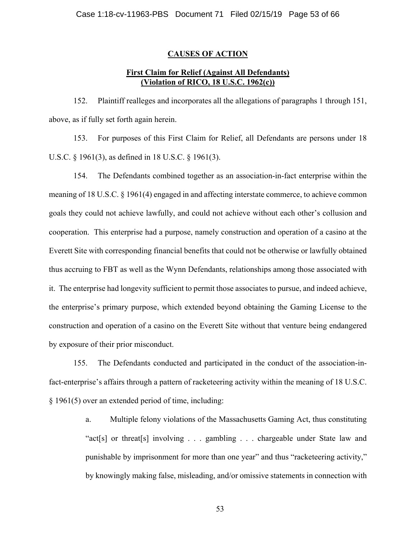## **CAUSES OF ACTION**

# **First Claim for Relief (Against All Defendants) (Violation of RICO, 18 U.S.C. 1962(c))**

152. Plaintiff realleges and incorporates all the allegations of paragraphs 1 through 151, above, as if fully set forth again herein.

153. For purposes of this First Claim for Relief, all Defendants are persons under 18 U.S.C. § 1961(3), as defined in 18 U.S.C. § 1961(3).

154. The Defendants combined together as an association-in-fact enterprise within the meaning of 18 U.S.C. § 1961(4) engaged in and affecting interstate commerce, to achieve common goals they could not achieve lawfully, and could not achieve without each other's collusion and cooperation. This enterprise had a purpose, namely construction and operation of a casino at the Everett Site with corresponding financial benefits that could not be otherwise or lawfully obtained thus accruing to FBT as well as the Wynn Defendants, relationships among those associated with it. The enterprise had longevity sufficient to permit those associates to pursue, and indeed achieve, the enterprise's primary purpose, which extended beyond obtaining the Gaming License to the construction and operation of a casino on the Everett Site without that venture being endangered by exposure of their prior misconduct.

155. The Defendants conducted and participated in the conduct of the association-infact-enterprise's affairs through a pattern of racketeering activity within the meaning of 18 U.S.C. § 1961(5) over an extended period of time, including:

> a. Multiple felony violations of the Massachusetts Gaming Act, thus constituting "act[s] or threat[s] involving . . . gambling . . . chargeable under State law and punishable by imprisonment for more than one year" and thus "racketeering activity," by knowingly making false, misleading, and/or omissive statements in connection with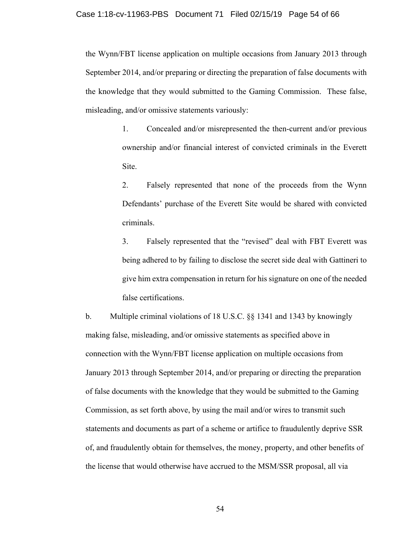the Wynn/FBT license application on multiple occasions from January 2013 through September 2014, and/or preparing or directing the preparation of false documents with the knowledge that they would submitted to the Gaming Commission. These false, misleading, and/or omissive statements variously:

> 1. Concealed and/or misrepresented the then-current and/or previous ownership and/or financial interest of convicted criminals in the Everett Site.

> 2. Falsely represented that none of the proceeds from the Wynn Defendants' purchase of the Everett Site would be shared with convicted criminals.

> 3. Falsely represented that the "revised" deal with FBT Everett was being adhered to by failing to disclose the secret side deal with Gattineri to give him extra compensation in return for his signature on one of the needed false certifications.

b. Multiple criminal violations of 18 U.S.C. §§ 1341 and 1343 by knowingly making false, misleading, and/or omissive statements as specified above in connection with the Wynn/FBT license application on multiple occasions from January 2013 through September 2014, and/or preparing or directing the preparation of false documents with the knowledge that they would be submitted to the Gaming Commission, as set forth above, by using the mail and/or wires to transmit such statements and documents as part of a scheme or artifice to fraudulently deprive SSR of, and fraudulently obtain for themselves, the money, property, and other benefits of the license that would otherwise have accrued to the MSM/SSR proposal, all via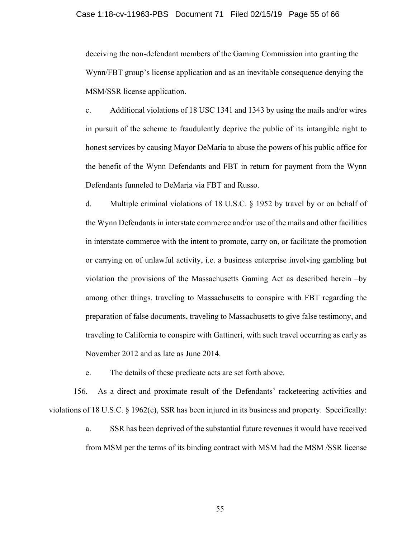#### Case 1:18-cv-11963-PBS Document 71 Filed 02/15/19 Page 55 of 66

deceiving the non-defendant members of the Gaming Commission into granting the Wynn/FBT group's license application and as an inevitable consequence denying the MSM/SSR license application.

c. Additional violations of 18 USC 1341 and 1343 by using the mails and/or wires in pursuit of the scheme to fraudulently deprive the public of its intangible right to honest services by causing Mayor DeMaria to abuse the powers of his public office for the benefit of the Wynn Defendants and FBT in return for payment from the Wynn Defendants funneled to DeMaria via FBT and Russo.

d. Multiple criminal violations of 18 U.S.C. § 1952 by travel by or on behalf of the Wynn Defendants in interstate commerce and/or use of the mails and other facilities in interstate commerce with the intent to promote, carry on, or facilitate the promotion or carrying on of unlawful activity, i.e. a business enterprise involving gambling but violation the provisions of the Massachusetts Gaming Act as described herein –by among other things, traveling to Massachusetts to conspire with FBT regarding the preparation of false documents, traveling to Massachusetts to give false testimony, and traveling to California to conspire with Gattineri, with such travel occurring as early as November 2012 and as late as June 2014.

e. The details of these predicate acts are set forth above.

156. As a direct and proximate result of the Defendants' racketeering activities and violations of 18 U.S.C. § 1962(c), SSR has been injured in its business and property. Specifically:

> a. SSR has been deprived of the substantial future revenues it would have received from MSM per the terms of its binding contract with MSM had the MSM /SSR license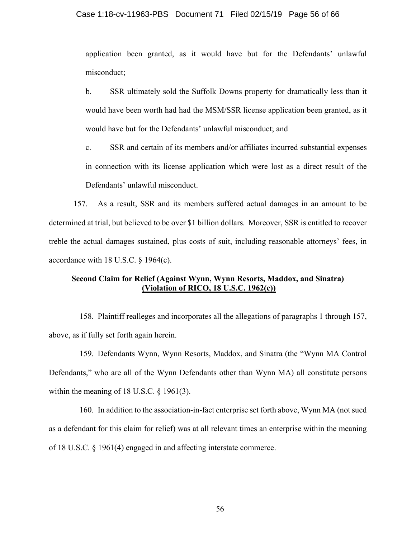#### Case 1:18-cv-11963-PBS Document 71 Filed 02/15/19 Page 56 of 66

application been granted, as it would have but for the Defendants' unlawful misconduct;

b. SSR ultimately sold the Suffolk Downs property for dramatically less than it would have been worth had had the MSM/SSR license application been granted, as it would have but for the Defendants' unlawful misconduct; and

c. SSR and certain of its members and/or affiliates incurred substantial expenses in connection with its license application which were lost as a direct result of the Defendants' unlawful misconduct.

157. As a result, SSR and its members suffered actual damages in an amount to be determined at trial, but believed to be over \$1 billion dollars. Moreover, SSR is entitled to recover treble the actual damages sustained, plus costs of suit, including reasonable attorneys' fees, in accordance with 18 U.S.C. § 1964(c).

### **Second Claim for Relief (Against Wynn, Wynn Resorts, Maddox, and Sinatra) (Violation of RICO, 18 U.S.C. 1962(c))**

158. Plaintiff realleges and incorporates all the allegations of paragraphs 1 through 157, above, as if fully set forth again herein.

159. Defendants Wynn, Wynn Resorts, Maddox, and Sinatra (the "Wynn MA Control Defendants," who are all of the Wynn Defendants other than Wynn MA) all constitute persons within the meaning of 18 U.S.C. § 1961(3).

160. In addition to the association-in-fact enterprise set forth above, Wynn MA (not sued as a defendant for this claim for relief) was at all relevant times an enterprise within the meaning of 18 U.S.C. § 1961(4) engaged in and affecting interstate commerce.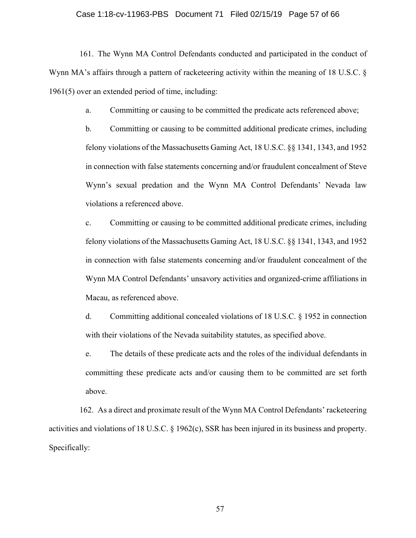#### Case 1:18-cv-11963-PBS Document 71 Filed 02/15/19 Page 57 of 66

161. The Wynn MA Control Defendants conducted and participated in the conduct of Wynn MA's affairs through a pattern of racketeering activity within the meaning of 18 U.S.C. § 1961(5) over an extended period of time, including:

a. Committing or causing to be committed the predicate acts referenced above;

b. Committing or causing to be committed additional predicate crimes, including felony violations of the Massachusetts Gaming Act, 18 U.S.C. §§ 1341, 1343, and 1952 in connection with false statements concerning and/or fraudulent concealment of Steve Wynn's sexual predation and the Wynn MA Control Defendants' Nevada law violations a referenced above.

c. Committing or causing to be committed additional predicate crimes, including felony violations of the Massachusetts Gaming Act, 18 U.S.C. §§ 1341, 1343, and 1952 in connection with false statements concerning and/or fraudulent concealment of the Wynn MA Control Defendants' unsavory activities and organized-crime affiliations in Macau, as referenced above.

d. Committing additional concealed violations of 18 U.S.C. § 1952 in connection with their violations of the Nevada suitability statutes, as specified above.

e. The details of these predicate acts and the roles of the individual defendants in committing these predicate acts and/or causing them to be committed are set forth above.

162. As a direct and proximate result of the Wynn MA Control Defendants' racketeering activities and violations of 18 U.S.C. § 1962(c), SSR has been injured in its business and property. Specifically: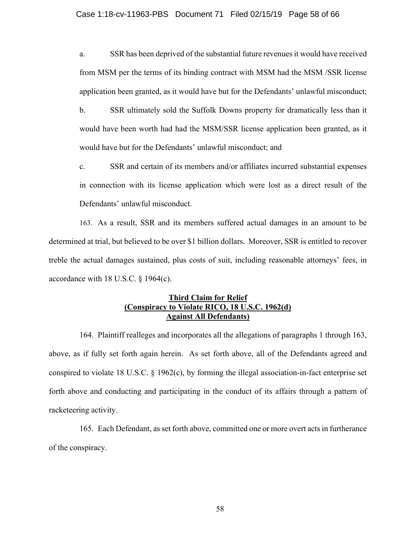### Case 1:18-cv-11963-PBS Document 71 Filed 02/15/19 Page 58 of 66

a. SSR has been deprived of the substantial future revenues it would have received from MSM per the terms of its binding contract with MSM had the MSM /SSR license application been granted, as it would have but for the Defendants' unlawful misconduct;

b. SSR ultimately sold the Suffolk Downs property for dramatically less than it would have been worth had had the MSM/SSR license application been granted, as it would have but for the Defendants' unlawful misconduct; and

c. SSR and certain of its members and/or affiliates incurred substantial expenses in connection with its license application which were lost as a direct result of the Defendants' unlawful misconduct.

163. As a result, SSR and its members suffered actual damages in an amount to be determined at trial, but believed to be over \$1 billion dollars. Moreover, SSR is entitled to recover treble the actual damages sustained, plus costs of suit, including reasonable attorneys' fees, in accordance with 18 U.S.C. § 1964(c).

# **Third Claim for Relief (Conspiracy to Violate RICO, 18 U.S.C. 1962(d) Against All Defendants)**

164. Plaintiff realleges and incorporates all the allegations of paragraphs 1 through 163, above, as if fully set forth again herein. As set forth above, all of the Defendants agreed and conspired to violate 18 U.S.C. § 1962(c), by forming the illegal association-in-fact enterprise set forth above and conducting and participating in the conduct of its affairs through a pattern of racketeering activity.

165. Each Defendant, as set forth above, committed one or more overt acts in furtherance of the conspiracy.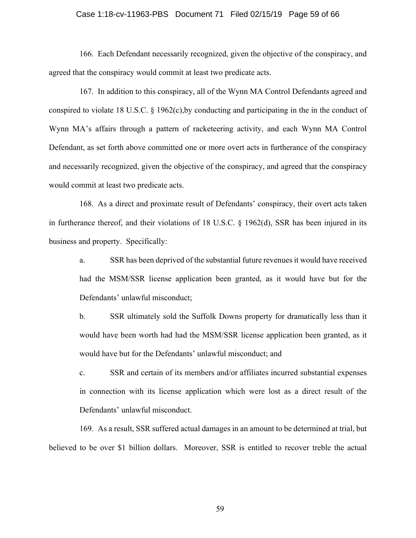#### Case 1:18-cv-11963-PBS Document 71 Filed 02/15/19 Page 59 of 66

166. Each Defendant necessarily recognized, given the objective of the conspiracy, and agreed that the conspiracy would commit at least two predicate acts.

167. In addition to this conspiracy, all of the Wynn MA Control Defendants agreed and conspired to violate 18 U.S.C. § 1962(c),by conducting and participating in the in the conduct of Wynn MA's affairs through a pattern of racketeering activity, and each Wynn MA Control Defendant, as set forth above committed one or more overt acts in furtherance of the conspiracy and necessarily recognized, given the objective of the conspiracy, and agreed that the conspiracy would commit at least two predicate acts.

168. As a direct and proximate result of Defendants' conspiracy, their overt acts taken in furtherance thereof, and their violations of 18 U.S.C. § 1962(d), SSR has been injured in its business and property. Specifically:

a. SSR has been deprived of the substantial future revenues it would have received had the MSM/SSR license application been granted, as it would have but for the Defendants' unlawful misconduct;

b. SSR ultimately sold the Suffolk Downs property for dramatically less than it would have been worth had had the MSM/SSR license application been granted, as it would have but for the Defendants' unlawful misconduct; and

c. SSR and certain of its members and/or affiliates incurred substantial expenses in connection with its license application which were lost as a direct result of the Defendants' unlawful misconduct.

169. As a result, SSR suffered actual damages in an amount to be determined at trial, but believed to be over \$1 billion dollars. Moreover, SSR is entitled to recover treble the actual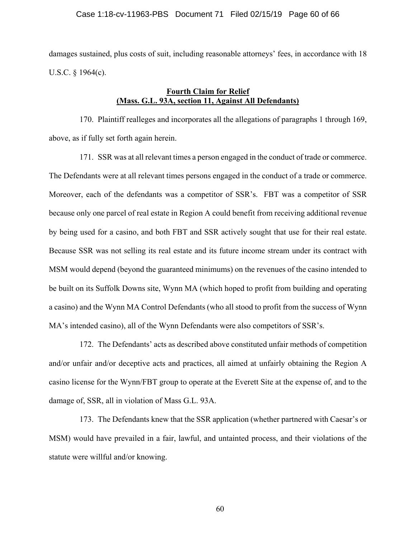damages sustained, plus costs of suit, including reasonable attorneys' fees, in accordance with 18 U.S.C. § 1964(c).

# **Fourth Claim for Relief (Mass. G.L. 93A, section 11, Against All Defendants)**

170. Plaintiff realleges and incorporates all the allegations of paragraphs 1 through 169, above, as if fully set forth again herein.

171. SSR was at all relevant times a person engaged in the conduct of trade or commerce. The Defendants were at all relevant times persons engaged in the conduct of a trade or commerce. Moreover, each of the defendants was a competitor of SSR's. FBT was a competitor of SSR because only one parcel of real estate in Region A could benefit from receiving additional revenue by being used for a casino, and both FBT and SSR actively sought that use for their real estate. Because SSR was not selling its real estate and its future income stream under its contract with MSM would depend (beyond the guaranteed minimums) on the revenues of the casino intended to be built on its Suffolk Downs site, Wynn MA (which hoped to profit from building and operating a casino) and the Wynn MA Control Defendants (who all stood to profit from the success of Wynn MA's intended casino), all of the Wynn Defendants were also competitors of SSR's.

172. The Defendants' acts as described above constituted unfair methods of competition and/or unfair and/or deceptive acts and practices, all aimed at unfairly obtaining the Region A casino license for the Wynn/FBT group to operate at the Everett Site at the expense of, and to the damage of, SSR, all in violation of Mass G.L. 93A.

173. The Defendants knew that the SSR application (whether partnered with Caesar's or MSM) would have prevailed in a fair, lawful, and untainted process, and their violations of the statute were willful and/or knowing.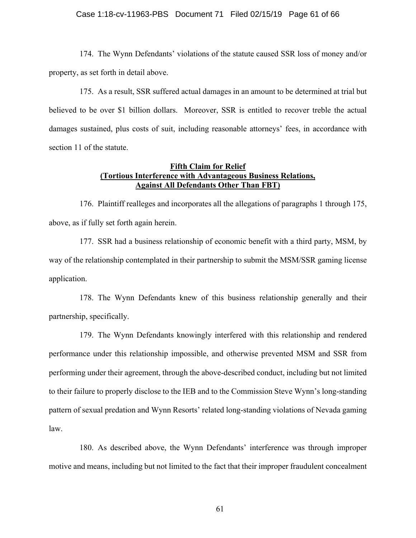#### Case 1:18-cv-11963-PBS Document 71 Filed 02/15/19 Page 61 of 66

174. The Wynn Defendants' violations of the statute caused SSR loss of money and/or property, as set forth in detail above.

175. As a result, SSR suffered actual damages in an amount to be determined at trial but believed to be over \$1 billion dollars. Moreover, SSR is entitled to recover treble the actual damages sustained, plus costs of suit, including reasonable attorneys' fees, in accordance with section 11 of the statute.

### **Fifth Claim for Relief (Tortious Interference with Advantageous Business Relations, Against All Defendants Other Than FBT)**

176. Plaintiff realleges and incorporates all the allegations of paragraphs 1 through 175, above, as if fully set forth again herein.

177. SSR had a business relationship of economic benefit with a third party, MSM, by way of the relationship contemplated in their partnership to submit the MSM/SSR gaming license application.

178. The Wynn Defendants knew of this business relationship generally and their partnership, specifically.

179. The Wynn Defendants knowingly interfered with this relationship and rendered performance under this relationship impossible, and otherwise prevented MSM and SSR from performing under their agreement, through the above-described conduct, including but not limited to their failure to properly disclose to the IEB and to the Commission Steve Wynn's long-standing pattern of sexual predation and Wynn Resorts' related long-standing violations of Nevada gaming law.

180. As described above, the Wynn Defendants' interference was through improper motive and means, including but not limited to the fact that their improper fraudulent concealment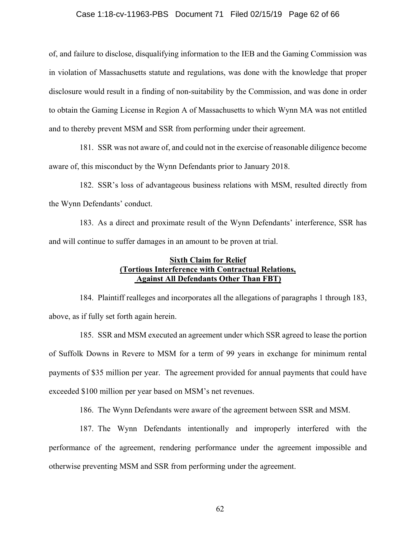#### Case 1:18-cv-11963-PBS Document 71 Filed 02/15/19 Page 62 of 66

of, and failure to disclose, disqualifying information to the IEB and the Gaming Commission was in violation of Massachusetts statute and regulations, was done with the knowledge that proper disclosure would result in a finding of non-suitability by the Commission, and was done in order to obtain the Gaming License in Region A of Massachusetts to which Wynn MA was not entitled and to thereby prevent MSM and SSR from performing under their agreement.

181. SSR was not aware of, and could not in the exercise of reasonable diligence become aware of, this misconduct by the Wynn Defendants prior to January 2018.

182. SSR's loss of advantageous business relations with MSM, resulted directly from the Wynn Defendants' conduct.

183. As a direct and proximate result of the Wynn Defendants' interference, SSR has and will continue to suffer damages in an amount to be proven at trial.

## **Sixth Claim for Relief (Tortious Interference with Contractual Relations, Against All Defendants Other Than FBT)**

184. Plaintiff realleges and incorporates all the allegations of paragraphs 1 through 183, above, as if fully set forth again herein.

185. SSR and MSM executed an agreement under which SSR agreed to lease the portion of Suffolk Downs in Revere to MSM for a term of 99 years in exchange for minimum rental payments of \$35 million per year. The agreement provided for annual payments that could have exceeded \$100 million per year based on MSM's net revenues.

186. The Wynn Defendants were aware of the agreement between SSR and MSM.

187. The Wynn Defendants intentionally and improperly interfered with the performance of the agreement, rendering performance under the agreement impossible and otherwise preventing MSM and SSR from performing under the agreement.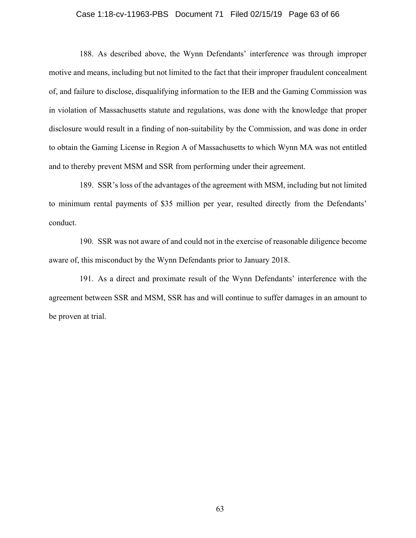#### Case 1:18-cv-11963-PBS Document 71 Filed 02/15/19 Page 63 of 66

188. As described above, the Wynn Defendants' interference was through improper motive and means, including but not limited to the fact that their improper fraudulent concealment of, and failure to disclose, disqualifying information to the IEB and the Gaming Commission was in violation of Massachusetts statute and regulations, was done with the knowledge that proper disclosure would result in a finding of non-suitability by the Commission, and was done in order to obtain the Gaming License in Region A of Massachusetts to which Wynn MA was not entitled and to thereby prevent MSM and SSR from performing under their agreement.

189. SSR's loss of the advantages of the agreement with MSM, including but not limited to minimum rental payments of \$35 million per year, resulted directly from the Defendants' conduct.

190. SSR was not aware of and could not in the exercise of reasonable diligence become aware of, this misconduct by the Wynn Defendants prior to January 2018.

191. As a direct and proximate result of the Wynn Defendants' interference with the agreement between SSR and MSM, SSR has and will continue to suffer damages in an amount to be proven at trial.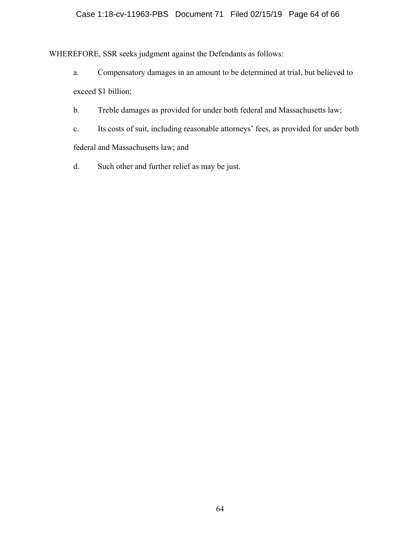# Case 1:18-cv-11963-PBS Document 71 Filed 02/15/19 Page 64 of 66

WHEREFORE, SSR seeks judgment against the Defendants as follows:

- a. Compensatory damages in an amount to be determined at trial, but believed to exceed \$1 billion;
- b. Treble damages as provided for under both federal and Massachusetts law;
- c. Its costs of suit, including reasonable attorneys' fees, as provided for under both federal and Massachusetts law; and
- d. Such other and further relief as may be just.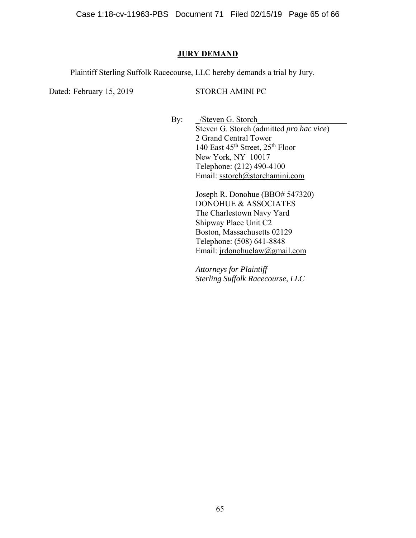Case 1:18-cv-11963-PBS Document 71 Filed 02/15/19 Page 65 of 66

### **JURY DEMAND**

Plaintiff Sterling Suffolk Racecourse, LLC hereby demands a trial by Jury.

Dated: February 15, 2019 STORCH AMINI PC

By: /Steven G. Storch Steven G. Storch (admitted *pro hac vice*) 2 Grand Central Tower 140 East 45<sup>th</sup> Street, 25<sup>th</sup> Floor New York, NY 10017 Telephone: (212) 490-4100 Email: sstorch@storchamini.com

> Joseph R. Donohue (BBO# 547320) DONOHUE & ASSOCIATES The Charlestown Navy Yard Shipway Place Unit C2 Boston, Massachusetts 02129 Telephone: (508) 641-8848 Email: jrdonohuelaw@gmail.com

 *Attorneys for Plaintiff Sterling Suffolk Racecourse, LLC*